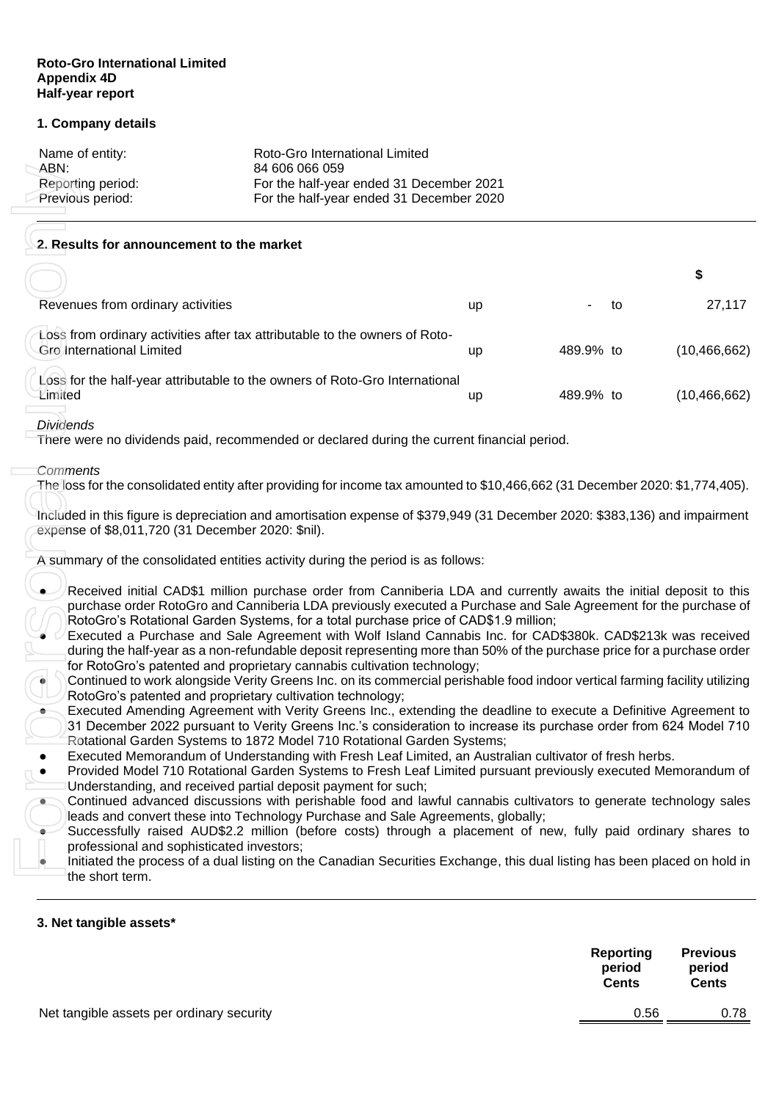## **Roto-Gro International Limited Appendix 4D Half-year report**

## **1. Company details**

| Name of entity:   | Roto-Gro International Limited           |
|-------------------|------------------------------------------|
| ABN:              | 84 606 066 059                           |
| Reporting period: | For the half-year ended 31 December 2021 |
| Previous period:  | For the half-year ended 31 December 2020 |

## **2. Results for announcement to the market**

| Net tangible assets per ordinary security         |                                                                                                                                                                                                                                                                                                                                                                                                                                                                                                                                                                                                             |    |           | period<br><b>Cents</b><br>0.56 | period<br><b>Cents</b><br>0.78 |
|---------------------------------------------------|-------------------------------------------------------------------------------------------------------------------------------------------------------------------------------------------------------------------------------------------------------------------------------------------------------------------------------------------------------------------------------------------------------------------------------------------------------------------------------------------------------------------------------------------------------------------------------------------------------------|----|-----------|--------------------------------|--------------------------------|
| 3. Net tangible assets*                           |                                                                                                                                                                                                                                                                                                                                                                                                                                                                                                                                                                                                             |    |           | <b>Reporting</b>               | <b>Previous</b>                |
| ۰<br>the short term.                              | Continued advanced discussions with perishable food and lawful cannabis cultivators to generate technology sales<br>leads and convert these into Technology Purchase and Sale Agreements, globally;<br>Successfully raised AUD\$2.2 million (before costs) through a placement of new, fully paid ordinary shares to<br>professional and sophisticated investors;<br>Initiated the process of a dual listing on the Canadian Securities Exchange, this dual listing has been placed on hold in                                                                                                              |    |           |                                |                                |
|                                                   | Executed Amending Agreement with Verity Greens Inc., extending the deadline to execute a Definitive Agreement to<br>31 December 2022 pursuant to Verity Greens Inc.'s consideration to increase its purchase order from 624 Model 710<br>Rotational Garden Systems to 1872 Model 710 Rotational Garden Systems;<br>Executed Memorandum of Understanding with Fresh Leaf Limited, an Australian cultivator of fresh herbs.<br>Provided Model 710 Rotational Garden Systems to Fresh Leaf Limited pursuant previously executed Memorandum of<br>Understanding, and received partial deposit payment for such; |    |           |                                |                                |
|                                                   | during the half-year as a non-refundable deposit representing more than 50% of the purchase price for a purchase order<br>for RotoGro's patented and proprietary cannabis cultivation technology;<br>Continued to work alongside Verity Greens Inc. on its commercial perishable food indoor vertical farming facility utilizing<br>RotoGro's patented and proprietary cultivation technology;                                                                                                                                                                                                              |    |           |                                |                                |
|                                                   | Received initial CAD\$1 million purchase order from Canniberia LDA and currently awaits the initial deposit to this<br>purchase order RotoGro and Canniberia LDA previously executed a Purchase and Sale Agreement for the purchase of<br>RotoGro's Rotational Garden Systems, for a total purchase price of CAD\$1.9 million;<br>Executed a Purchase and Sale Agreement with Wolf Island Cannabis Inc. for CAD\$380k. CAD\$213k was received                                                                                                                                                               |    |           |                                |                                |
|                                                   | A summary of the consolidated entities activity during the period is as follows:                                                                                                                                                                                                                                                                                                                                                                                                                                                                                                                            |    |           |                                |                                |
| expense of \$8,011,720 (31 December 2020: \$nil). | Included in this figure is depreciation and amortisation expense of \$379,949 (31 December 2020: \$383,136) and impairment                                                                                                                                                                                                                                                                                                                                                                                                                                                                                  |    |           |                                |                                |
| Comments                                          | The loss for the consolidated entity after providing for income tax amounted to \$10,466,662 (31 December 2020: \$1,774,405).                                                                                                                                                                                                                                                                                                                                                                                                                                                                               |    |           |                                |                                |
| <b>Dividends</b>                                  | There were no dividends paid, recommended or declared during the current financial period.                                                                                                                                                                                                                                                                                                                                                                                                                                                                                                                  |    |           |                                |                                |
| Limited                                           | Loss for the half-year attributable to the owners of Roto-Gro International                                                                                                                                                                                                                                                                                                                                                                                                                                                                                                                                 | up | 489.9% to |                                | (10, 466, 662)                 |
| Gro International Limited                         | Loss from ordinary activities after tax attributable to the owners of Roto-                                                                                                                                                                                                                                                                                                                                                                                                                                                                                                                                 | up | 489.9% to |                                | (10, 466, 662)                 |
| Revenues from ordinary activities                 |                                                                                                                                                                                                                                                                                                                                                                                                                                                                                                                                                                                                             | up |           | to                             | 27,117                         |
|                                                   |                                                                                                                                                                                                                                                                                                                                                                                                                                                                                                                                                                                                             |    |           |                                | \$                             |
| 2. Results for announcement to the market         |                                                                                                                                                                                                                                                                                                                                                                                                                                                                                                                                                                                                             |    |           |                                |                                |
| Previous period:                                  | For the half-year ended 31 December 2020                                                                                                                                                                                                                                                                                                                                                                                                                                                                                                                                                                    |    |           |                                |                                |
| ABN:<br>Reporting period:                         | 84 606 066 059<br>For the half-year ended 31 December 2021                                                                                                                                                                                                                                                                                                                                                                                                                                                                                                                                                  |    |           |                                |                                |

#### *Dividends*

#### *Comments*

- Received initial CAD\$1 million purchase order from Canniberia LDA and currently awaits the initial deposit to this purchase order RotoGro and Canniberia LDA previously executed a Purchase and Sale Agreement for the purchase of RotoGro's Rotational Garden Systems, for a total purchase price of CAD\$1.9 million;
- Executed a Purchase and Sale Agreement with Wolf Island Cannabis Inc. for CAD\$380k. CAD\$213k was received during the half-year as a non-refundable deposit representing more than 50% of the purchase price for a purchase order for RotoGro's patented and proprietary cannabis cultivation technology;
- Continued to work alongside Verity Greens Inc. on its commercial perishable food indoor vertical farming facility utilizing RotoGro's patented and proprietary cultivation technology;
- Executed Amending Agreement with Verity Greens Inc., extending the deadline to execute a Definitive Agreement to 31 December 2022 pursuant to Verity Greens Inc.'s consideration to increase its purchase order from 624 Model 710 Rotational Garden Systems to 1872 Model 710 Rotational Garden Systems;
- Executed Memorandum of Understanding with Fresh Leaf Limited, an Australian cultivator of fresh herbs.
- Provided Model 710 Rotational Garden Systems to Fresh Leaf Limited pursuant previously executed Memorandum of Understanding, and received partial deposit payment for such;
- Continued advanced discussions with perishable food and lawful cannabis cultivators to generate technology sales leads and convert these into Technology Purchase and Sale Agreements, globally;
- Successfully raised AUD\$2.2 million (before costs) through a placement of new, fully paid ordinary shares to professional and sophisticated investors;
- Initiated the process of a dual listing on the Canadian Securities Exchange, this dual listing has been placed on hold in the short term.

### **3. Net tangible assets\***

|                                           | Reporting<br>period<br><b>Cents</b> | <b>Previous</b><br>period<br><b>Cents</b> |
|-------------------------------------------|-------------------------------------|-------------------------------------------|
| let tangible assets per ordinary security | 0.56                                | 0.78                                      |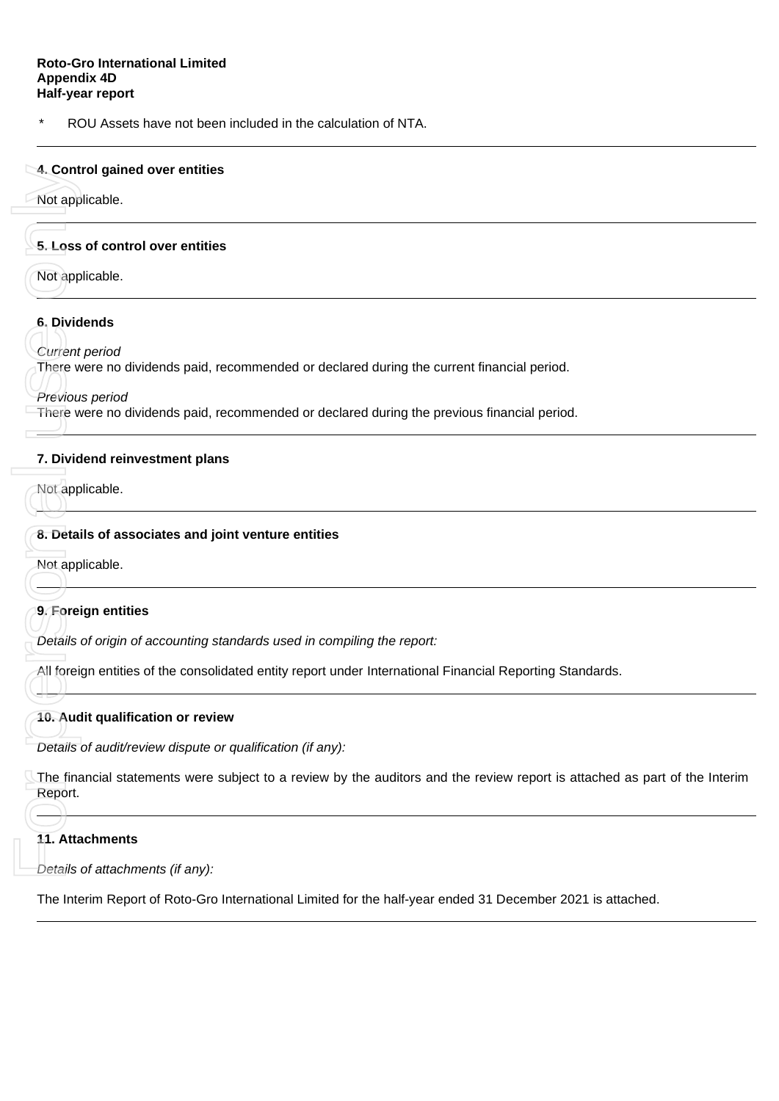ROU Assets have not been included in the calculation of NTA.

# **4. Control gained over entities**

Not applicable.

# **5. Loss of control over entities**

Not applicable.

# **6. Dividends**

*Current period*

There were no dividends paid, recommended or declared during the current financial period.

*Previous period*

There were no dividends paid, recommended or declared during the previous financial period.

# **7. Dividend reinvestment plans**

Not applicable.

# **8. Details of associates and joint venture entities**

Not applicable.

# **9. Foreign entities**

*Details of origin of accounting standards used in compiling the report:*

All foreign entities of the consolidated entity report under International Financial Reporting Standards.

# **10. Audit qualification or review**

*Details of audit/review dispute or qualification (if any):*

The financial statements were subject to a review by the auditors and the review report is attached as part of the Interim Report. 4. Control gained over en<br>
Not applicable.<br>
5. Loss of control over en<br>
Not applicable.<br>
6. Dividends<br>
Current period<br>
There were no dividends p<br>
Previous period<br>
There were no dividends p<br>
7. Dividend reinvestment<br>
Not ap

# **11. Attachments**

*Details of attachments (if any):*

The Interim Report of Roto-Gro International Limited for the half-year ended 31 December 2021 is attached.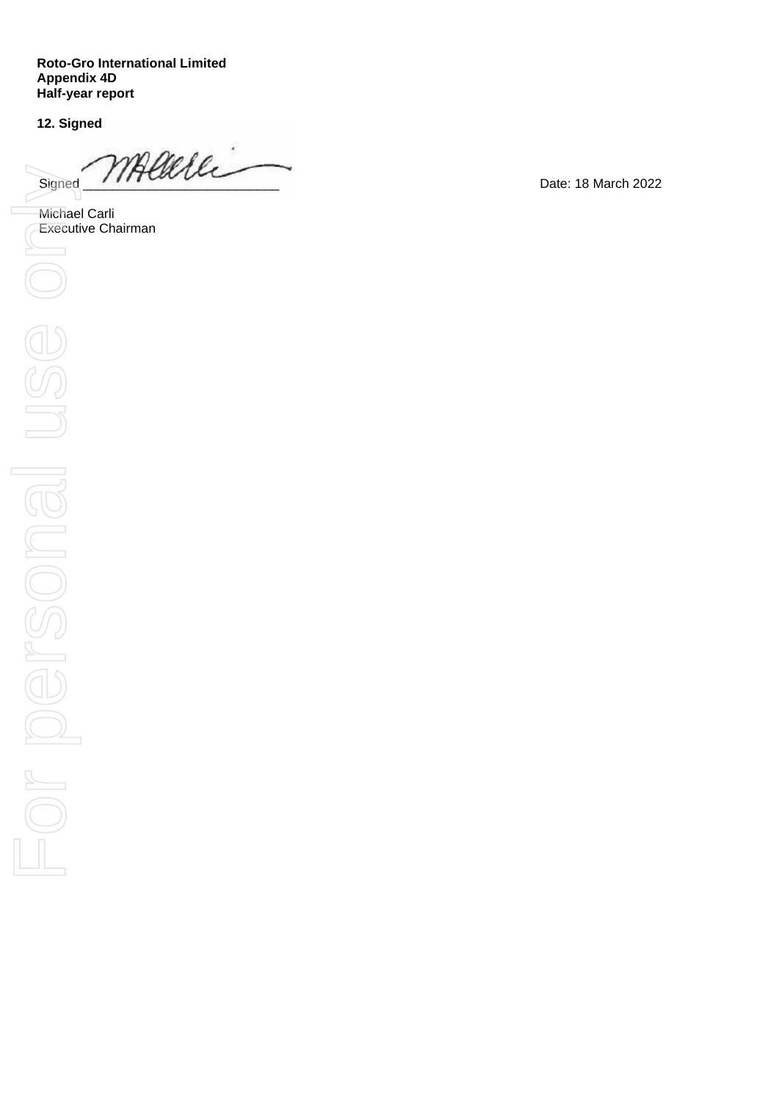**Roto -Gro International Limited Appendix 4D Half -year report**

**12. Signed**

Signed MACOULL

Michael Carli<br>Executive Chairman

Date: 18 March 2022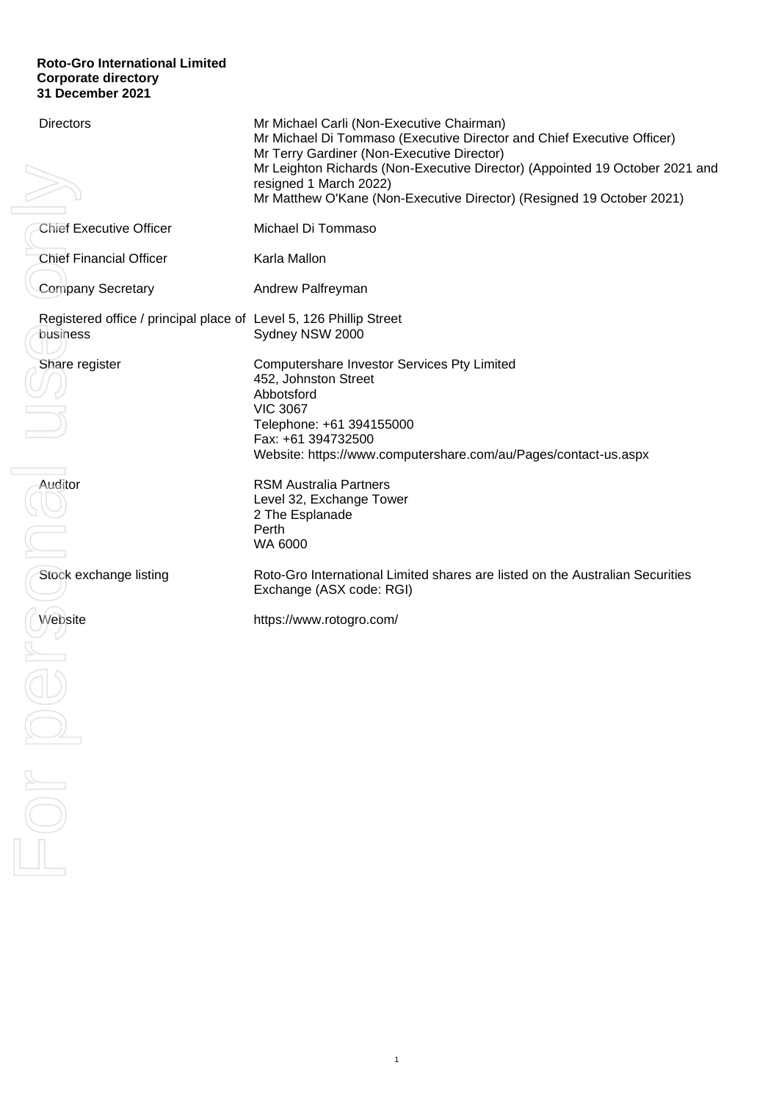## **Roto-Gro International Limited Corporate directory 31 December 2021**

| <b>Directors</b>                                                                                                                                                                                                                                                                                                                                                                                                            | Mr Michael Carli (Non-Executive Chairman)<br>Mr Michael Di Tommaso (Executive Director and Chief Executive Officer)<br>Mr Terry Gardiner (Non-Executive Director)<br>Mr Leighton Richards (Non-Executive Director) (Appointed 19 October 2021 and<br>resigned 1 March 2022)<br>Mr Matthew O'Kane (Non-Executive Director) (Resigned 19 October 2021) |
|-----------------------------------------------------------------------------------------------------------------------------------------------------------------------------------------------------------------------------------------------------------------------------------------------------------------------------------------------------------------------------------------------------------------------------|------------------------------------------------------------------------------------------------------------------------------------------------------------------------------------------------------------------------------------------------------------------------------------------------------------------------------------------------------|
| <b>Chief Executive Officer</b>                                                                                                                                                                                                                                                                                                                                                                                              | Michael Di Tommaso                                                                                                                                                                                                                                                                                                                                   |
| <b>Chief Financial Officer</b>                                                                                                                                                                                                                                                                                                                                                                                              | Karla Mallon                                                                                                                                                                                                                                                                                                                                         |
| Company Secretary                                                                                                                                                                                                                                                                                                                                                                                                           | Andrew Palfreyman                                                                                                                                                                                                                                                                                                                                    |
| Registered office / principal place of Level 5, 126 Phillip Street<br>business                                                                                                                                                                                                                                                                                                                                              | Sydney NSW 2000                                                                                                                                                                                                                                                                                                                                      |
| Share register                                                                                                                                                                                                                                                                                                                                                                                                              | Computershare Investor Services Pty Limited<br>452, Johnston Street<br>Abbotsford<br><b>VIC 3067</b><br>Telephone: +61 394155000<br>Fax: +61 394732500<br>Website: https://www.computershare.com/au/Pages/contact-us.aspx                                                                                                                            |
| Auditor                                                                                                                                                                                                                                                                                                                                                                                                                     | <b>RSM Australia Partners</b><br>Level 32, Exchange Tower<br>2 The Esplanade<br>Perth<br>WA 6000                                                                                                                                                                                                                                                     |
| Stock exchange listing                                                                                                                                                                                                                                                                                                                                                                                                      | Roto-Gro International Limited shares are listed on the Australian Securities<br>Exchange (ASX code: RGI)                                                                                                                                                                                                                                            |
| Website                                                                                                                                                                                                                                                                                                                                                                                                                     | https://www.rotogro.com/                                                                                                                                                                                                                                                                                                                             |
|                                                                                                                                                                                                                                                                                                                                                                                                                             |                                                                                                                                                                                                                                                                                                                                                      |
|                                                                                                                                                                                                                                                                                                                                                                                                                             |                                                                                                                                                                                                                                                                                                                                                      |
|                                                                                                                                                                                                                                                                                                                                                                                                                             |                                                                                                                                                                                                                                                                                                                                                      |
| $\begin{picture}(20,20) \put(0,0){\dashbox{0.5}(5,0){ }} \thicklines \put(0,0){\dashbox{0.5}(5,0){ }} \thicklines \put(0,0){\dashbox{0.5}(5,0){ }} \thicklines \put(1,0){\dashbox{0.5}(5,0){ }} \thicklines \put(1,0){\dashbox{0.5}(5,0){ }} \thicklines \put(1,0){\dashbox{0.5}(5,0){ }} \thicklines \put(1,0){\dashbox{0.5}(5,0){ }} \thicklines \put(1,0){\dashbox{0.5}(5,0){ }} \thicklines \put(1,0){\dashbox{0.5}(5,$ |                                                                                                                                                                                                                                                                                                                                                      |
|                                                                                                                                                                                                                                                                                                                                                                                                                             |                                                                                                                                                                                                                                                                                                                                                      |

1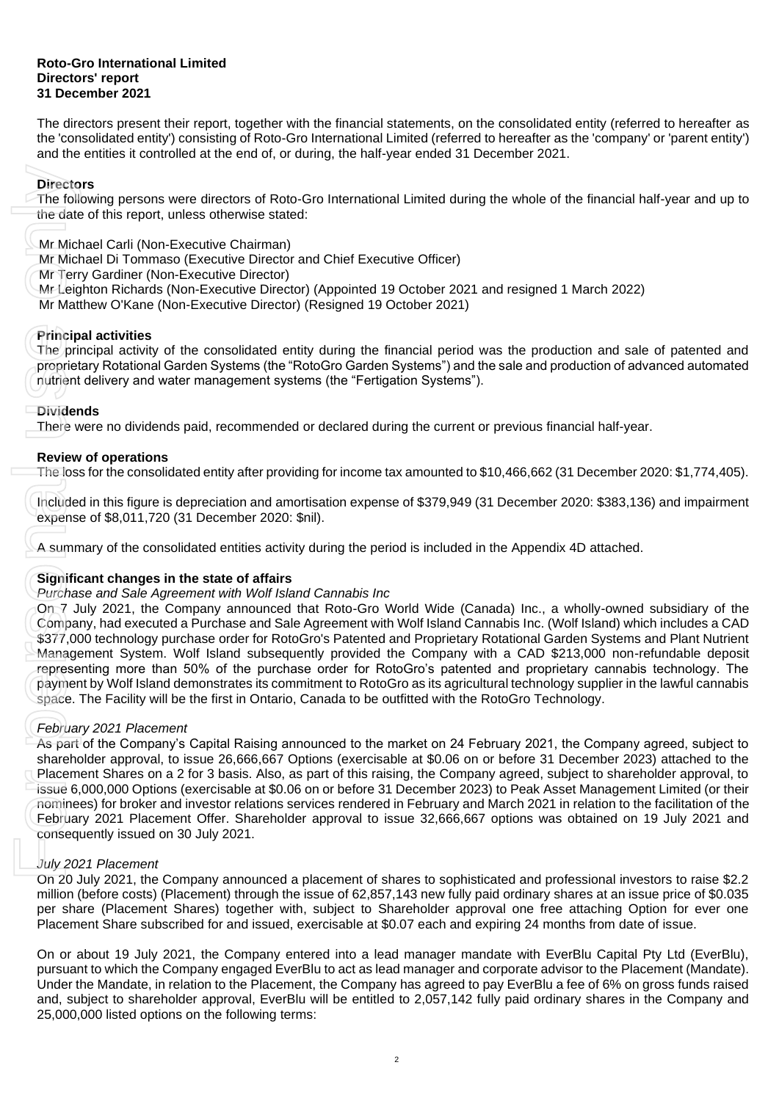#### **Roto-Gro International Limited Directors' report 31 December 2021**

The directors present their report, together with the financial statements, on the consolidated entity (referred to hereafter as the 'consolidated entity') consisting of Roto-Gro International Limited (referred to hereafter as the 'company' or 'parent entity') and the entities it controlled at the end of, or during, the half-year ended 31 December 2021.

# **Directors**

The following persons were directors of Roto-Gro International Limited during the whole of the financial half-year and up to the date of this report, unless otherwise stated:

Mr Michael Carli (Non-Executive Chairman)

Mr Michael Di Tommaso (Executive Director and Chief Executive Officer)

Mr Terry Gardiner (Non-Executive Director)

Mr Leighton Richards (Non-Executive Director) (Appointed 19 October 2021 and resigned 1 March 2022)

Mr Matthew O'Kane (Non-Executive Director) (Resigned 19 October 2021)

# **Principal activities**

The principal activity of the consolidated entity during the financial period was the production and sale of patented and proprietary Rotational Garden Systems (the "RotoGro Garden Systems") and the sale and production of advanced automated nutrient delivery and water management systems (the "Fertigation Systems").

### **Dividends**

There were no dividends paid, recommended or declared during the current or previous financial half-year.

# **Review of operations**

The loss for the consolidated entity after providing for income tax amounted to \$10,466,662 (31 December 2020: \$1,774,405).

Included in this figure is depreciation and amortisation expense of \$379,949 (31 December 2020: \$383,136) and impairment expense of \$8,011,720 (31 December 2020: \$nil).

A summary of the consolidated entities activity during the period is included in the Appendix 4D attached.

# **Significant changes in the state of affairs**

### *Purchase and Sale Agreement with Wolf Island Cannabis Inc*

On 7 July 2021, the Company announced that Roto-Gro World Wide (Canada) Inc., a wholly-owned subsidiary of the Company, had executed a Purchase and Sale Agreement with Wolf Island Cannabis Inc. (Wolf Island) which includes a CAD \$377,000 technology purchase order for RotoGro's Patented and Proprietary Rotational Garden Systems and Plant Nutrient Management System. Wolf Island subsequently provided the Company with a CAD \$213,000 non-refundable deposit representing more than 50% of the purchase order for RotoGro's patented and proprietary cannabis technology. The payment by Wolf Island demonstrates its commitment to RotoGro as its agricultural technology supplier in the lawful cannabis space. The Facility will be the first in Ontario, Canada to be outfitted with the RotoGro Technology. Directors<br>
The following persons were directors of Roto-Green directions<br>
Mr Michael Carli (Non-Executive Chairman)<br>
Mr Michael Di Tommaso (Executive Director) and<br>
Mr Michael Di Tommaso (Executive Director) (R<br>
Mr Michael

# *February 2021 Placement*

As part of the Company's Capital Raising announced to the market on 24 February 2021, the Company agreed, subject to shareholder approval, to issue 26,666,667 Options (exercisable at \$0.06 on or before 31 December 2023) attached to the Placement Shares on a 2 for 3 basis. Also, as part of this raising, the Company agreed, subject to shareholder approval, to issue 6,000,000 Options (exercisable at \$0.06 on or before 31 December 2023) to Peak Asset Management Limited (or their nominees) for broker and investor relations services rendered in February and March 2021 in relation to the facilitation of the February 2021 Placement Offer. Shareholder approval to issue 32,666,667 options was obtained on 19 July 2021 and consequently issued on 30 July 2021.

# *July 2021 Placement*

On 20 July 2021, the Company announced a placement of shares to sophisticated and professional investors to raise \$2.2 million (before costs) (Placement) through the issue of 62,857,143 new fully paid ordinary shares at an issue price of \$0.035 per share (Placement Shares) together with, subject to Shareholder approval one free attaching Option for ever one Placement Share subscribed for and issued, exercisable at \$0.07 each and expiring 24 months from date of issue.

On or about 19 July 2021, the Company entered into a lead manager mandate with EverBlu Capital Pty Ltd (EverBlu), pursuant to which the Company engaged EverBlu to act as lead manager and corporate advisor to the Placement (Mandate). Under the Mandate, in relation to the Placement, the Company has agreed to pay EverBlu a fee of 6% on gross funds raised and, subject to shareholder approval, EverBlu will be entitled to 2,057,142 fully paid ordinary shares in the Company and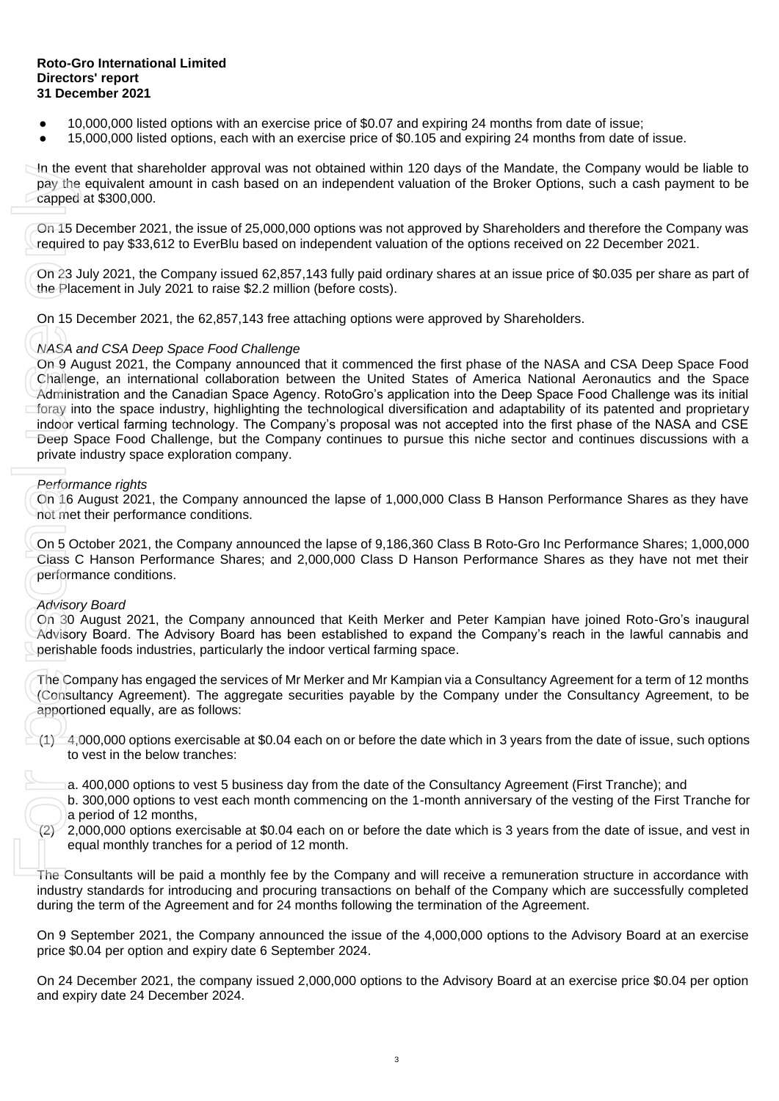#### **Roto-Gro International Limited Directors' report 31 December 2021**

- 10,000,000 listed options with an exercise price of \$0.07 and expiring 24 months from date of issue;
- 15,000,000 listed options, each with an exercise price of \$0.105 and expiring 24 months from date of issue.

In the event that shareholder approval was not obtained within 120 days of the Mandate, the Company would be liable to pay the equivalent amount in cash based on an independent valuation of the Broker Options, such a cash payment to be capped at \$300,000.

On 15 December 2021, the issue of 25,000,000 options was not approved by Shareholders and therefore the Company was required to pay \$33,612 to EverBlu based on independent valuation of the options received on 22 December 2021.

On 23 July 2021, the Company issued 62,857,143 fully paid ordinary shares at an issue price of \$0.035 per share as part of the Placement in July 2021 to raise \$2.2 million (before costs).

On 15 December 2021, the 62,857,143 free attaching options were approved by Shareholders.

# *NASA and CSA Deep Space Food Challenge*

On 9 August 2021, the Company announced that it commenced the first phase of the NASA and CSA Deep Space Food Challenge, an international collaboration between the United States of America National Aeronautics and the Space Administration and the Canadian Space Agency. RotoGro's application into the Deep Space Food Challenge was its initial foray into the space industry, highlighting the technological diversification and adaptability of its patented and proprietary indoor vertical farming technology. The Company's proposal was not accepted into the first phase of the NASA and CSE Deep Space Food Challenge, but the Company continues to pursue this niche sector and continues discussions with a private industry space exploration company. In the event that shareholder approximate that shareholds and pay the equivalent amount in cash required to pay \$33,612 to EverBlu I On 23 July 2021, the Company issue the Placement in July 2021 to raise On 15 December 20

# *Performance rights*

On 16 August 2021, the Company announced the lapse of 1,000,000 Class B Hanson Performance Shares as they have not met their performance conditions.

On 5 October 2021, the Company announced the lapse of 9,186,360 Class B Roto-Gro Inc Performance Shares; 1,000,000 Class C Hanson Performance Shares; and 2,000,000 Class D Hanson Performance Shares as they have not met their performance conditions.

### *Advisory Board*

On 30 August 2021, the Company announced that Keith Merker and Peter Kampian have joined Roto-Gro's inaugural Advisory Board. The Advisory Board has been established to expand the Company's reach in the lawful cannabis and perishable foods industries, particularly the indoor vertical farming space.

The Company has engaged the services of Mr Merker and Mr Kampian via a Consultancy Agreement for a term of 12 months (Consultancy Agreement). The aggregate securities payable by the Company under the Consultancy Agreement, to be apportioned equally, are as follows:

 $(1)$  4,000,000 options exercisable at \$0.04 each on or before the date which in 3 years from the date of issue, such options to vest in the below tranches:

- a. 400,000 options to vest 5 business day from the date of the Consultancy Agreement (First Tranche); and
- b. 300,000 options to vest each month commencing on the 1-month anniversary of the vesting of the First Tranche for a period of 12 months,
- $(2)$  2,000,000 options exercisable at \$0.04 each on or before the date which is 3 years from the date of issue, and vest in equal monthly tranches for a period of 12 month.

The Consultants will be paid a monthly fee by the Company and will receive a remuneration structure in accordance with industry standards for introducing and procuring transactions on behalf of the Company which are successfully completed during the term of the Agreement and for 24 months following the termination of the Agreement.

On 9 September 2021, the Company announced the issue of the 4,000,000 options to the Advisory Board at an exercise price \$0.04 per option and expiry date 6 September 2024.

On 24 December 2021, the company issued 2,000,000 options to the Advisory Board at an exercise price \$0.04 per option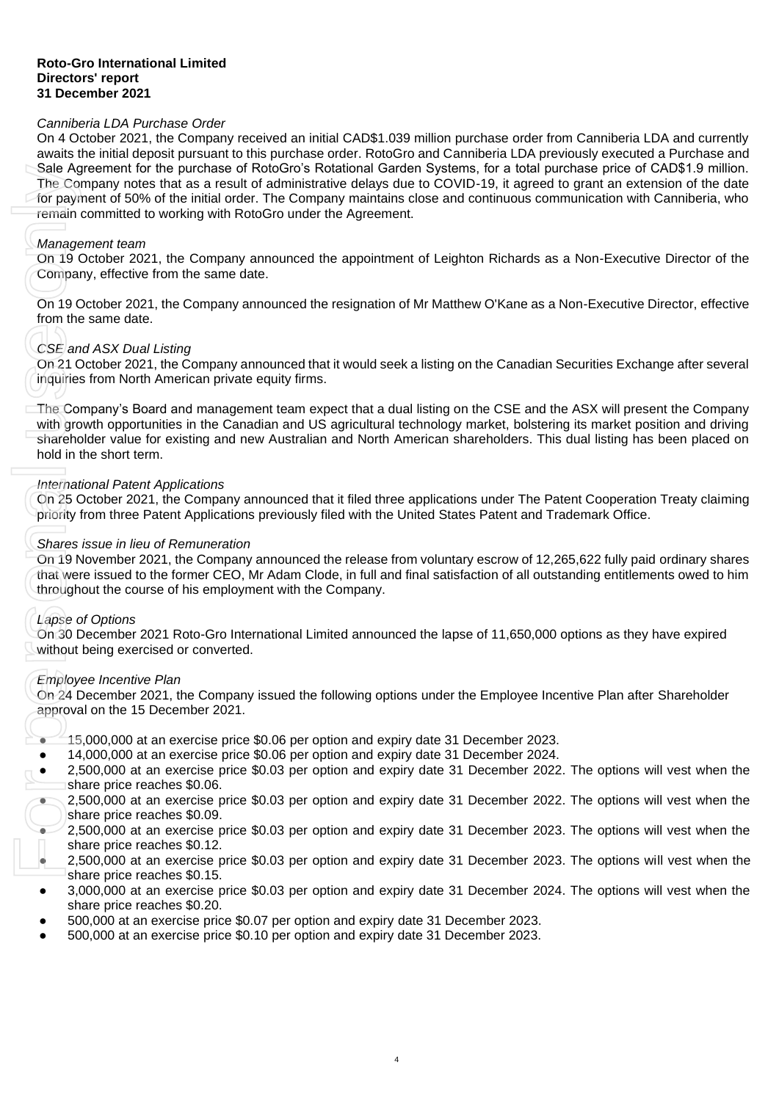#### **Roto-Gro International Limited Directors' report 31 December 2021**

# *Canniberia LDA Purchase Order*

On 4 October 2021, the Company received an initial CAD\$1.039 million purchase order from Canniberia LDA and currently awaits the initial deposit pursuant to this purchase order. RotoGro and Canniberia LDA previously executed a Purchase and Sale Agreement for the purchase of RotoGro's Rotational Garden Systems, for a total purchase price of CAD\$1.9 million. The Company notes that as a result of administrative delays due to COVID-19, it agreed to grant an extension of the date for payment of 50% of the initial order. The Company maintains close and continuous communication with Canniberia, who remain committed to working with RotoGro under the Agreement.

#### *Management team*

On 19 October 2021, the Company announced the appointment of Leighton Richards as a Non-Executive Director of the Company, effective from the same date.

On 19 October 2021, the Company announced the resignation of Mr Matthew O'Kane as a Non-Executive Director, effective from the same date.

# *CSE and ASX Dual Listing*

On 21 October 2021, the Company announced that it would seek a listing on the Canadian Securities Exchange after several inquiries from North American private equity firms.

The Company's Board and management team expect that a dual listing on the CSE and the ASX will present the Company with growth opportunities in the Canadian and US agricultural technology market, bolstering its market position and driving shareholder value for existing and new Australian and North American shareholders. This dual listing has been placed on hold in the short term. State Ageneration the purchase of NotoGross NotoGross Notation and Gardien Systems, for a following term and the option and the main district the Company methanic district in the Company methanic distribution and<br>the meth

### *International Patent Applications*

On 25 October 2021, the Company announced that it filed three applications under The Patent Cooperation Treaty claiming priority from three Patent Applications previously filed with the United States Patent and Trademark Office.

#### *Shares issue in lieu of Remuneration*

On 19 November 2021, the Company announced the release from voluntary escrow of 12,265,622 fully paid ordinary shares that were issued to the former CEO, Mr Adam Clode, in full and final satisfaction of all outstanding entitlements owed to him throughout the course of his employment with the Company.

### *Lapse of Options*

On 30 December 2021 Roto-Gro International Limited announced the lapse of 11,650,000 options as they have expired without being exercised or converted.

### *Employee Incentive Plan*

On 24 December 2021, the Company issued the following options under the Employee Incentive Plan after Shareholder approval on the 15 December 2021.

- $\bullet$  15,000,000 at an exercise price \$0.06 per option and expiry date 31 December 2023.
- 14,000,000 at an exercise price \$0.06 per option and expiry date 31 December 2024.
- 2,500,000 at an exercise price \$0.03 per option and expiry date 31 December 2022. The options will vest when the share price reaches \$0.06.
- 2,500,000 at an exercise price \$0.03 per option and expiry date 31 December 2022. The options will vest when the share price reaches \$0.09.
- 2,500,000 at an exercise price \$0,03 per option and expiry date 31 December 2023. The options will vest when the share price reaches \$0.12.
- 2,500,000 at an exercise price \$0.03 per option and expiry date 31 December 2023. The options will vest when the share price reaches \$0.15.
- 3,000,000 at an exercise price \$0.03 per option and expiry date 31 December 2024. The options will vest when the share price reaches \$0.20.
- 500,000 at an exercise price \$0.07 per option and expiry date 31 December 2023.
-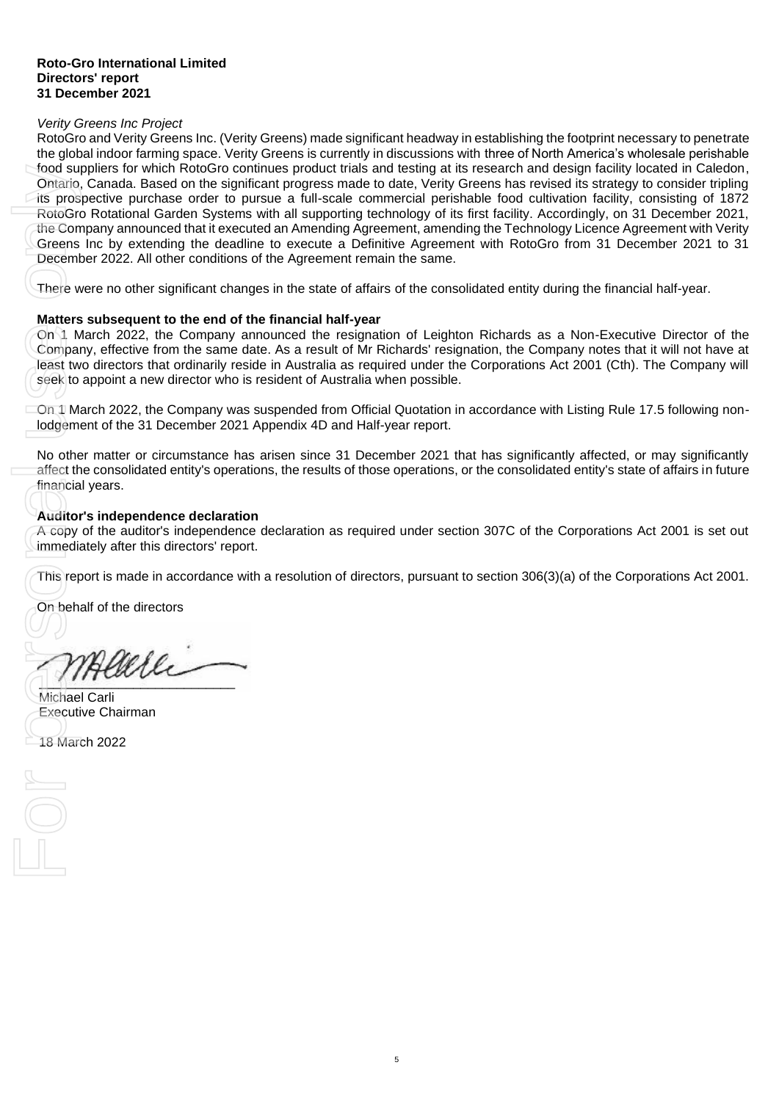#### *Verity Greens Inc Project*

RotoGro and Verity Greens Inc. (Verity Greens) made significant headway in establishing the footprint necessary to penetrate the global indoor farming space. Verity Greens is currently in discussions with three of North America's wholesale perishable food suppliers for which RotoGro continues product trials and testing at its research and design facility located in Caledon, Ontario, Canada. Based on the significant progress made to date, Verity Greens has revised its strategy to consider tripling its prospective purchase order to pursue a full-scale commercial perishable food cultivation facility, consisting of 1872 RotoGro Rotational Garden Systems with all supporting technology of its first facility. Accordingly, on 31 December 2021, the Company announced that it executed an Amending Agreement, amending the Technology Licence Agreement with Verity Greens Inc by extending the deadline to execute a Definitive Agreement with RotoGro from 31 December 2021 to 31 December 2022. All other conditions of the Agreement remain the same. Food suppliers to<br>
Contario, Canad<br>
its prospective<br>
RotoGro Rotati<br>
the Company and<br>
Greens Inc by<br>
December 2022<br>
There were no<br> **Matters subse**<br>
On 1 March 20<br>
Company, effect<br>
least two direct<br>
least two direct<br>
Seek t

There were no other significant changes in the state of affairs of the consolidated entity during the financial half-year.

#### **Matters subsequent to the end of the financial half-year**

On 1 March 2022, the Company announced the resignation of Leighton Richards as a Non-Executive Director of the Company, effective from the same date. As a result of Mr Richards' resignation, the Company notes that it will not have at least two directors that ordinarily reside in Australia as required under the Corporations Act 2001 (Cth). The Company will seek to appoint a new director who is resident of Australia when possible.

On 1 March 2022, the Company was suspended from Official Quotation in accordance with Listing Rule 17.5 following nonlodgement of the 31 December 2021 Appendix 4D and Half-year report.

No other matter or circumstance has arisen since 31 December 2021 that has significantly affected, or may significantly affect the consolidated entity's operations, the results of those operations, or the consolidated entity's state of affairs in future financial years.

### **Auditor's independence declaration**

A copy of the auditor's independence declaration as required under section 307C of the Corporations Act 2001 is set out immediately after this directors' report.

This report is made in accordance with a resolution of directors, pursuant to section 306(3)(a) of the Corporations Act 2001.

On behalf of the directors

Allele  $\mathbb{R}$ 

Michael Carli Executive Chairman

18 March 2022

 $\begin{matrix} \boxed{\phantom{0}} \\ \boxed{\phantom{0}} \end{matrix} \begin{matrix} \boxed{\phantom{0}} \\ \boxed{\phantom{0}} \end{matrix}$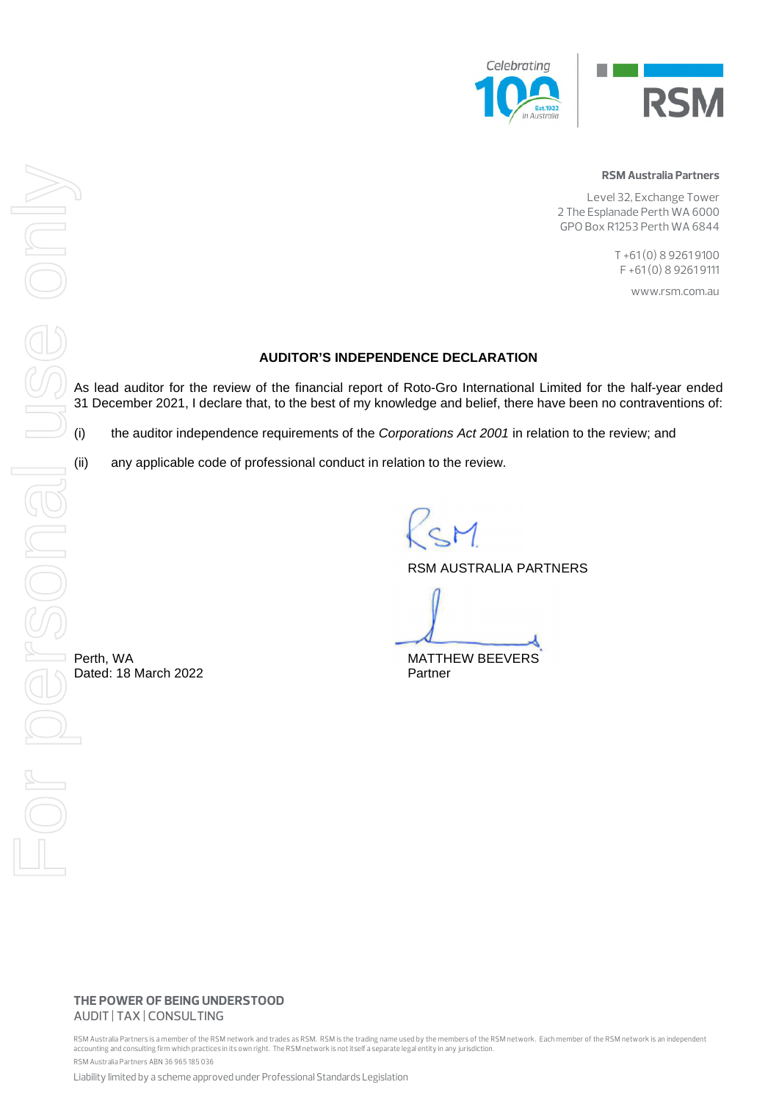

#### RSM Australia Partners

Level 32, Exchange Tower 2 The Esplanade Perth WA 6000 GPO Box R1253 Perth WA 6844

> T +61 (0) 8 9261 9100 F +61 (0) 8 9261 9111

> > www.rsm.com.au

#### **AUDITOR'S INDEPENDENCE DECLARATION**

As lead auditor for the review of the financial report of Roto-Gro International Limited for the half-year ended 31 December 2021, I declare that, to the best of my knowledge and belief, there have been no contraventions of:

(i) the auditor independence requirements of the *Corporations Act 2001* in relation to the review; and

(ii) any applicable code of professional conduct in relation to the review.

RSM AUSTRALIA PARTNERS

Perth, WA **MATTHEW BEEVERS** 

THE POWER OF BEING UNDERSTOOD AUDIT | TAX | CONSULTING

RSM Australia Partners is a member of the RSM network and trades as RSM. RSM is the trading name used by the members of the RSM network. Each member of the RSM network is an independent accounting and consulting firm which practices in its own right. The RSM network is not itself a separate legal entity in any jurisdiction.

RSM Australia Partners ABN 36 965 185 036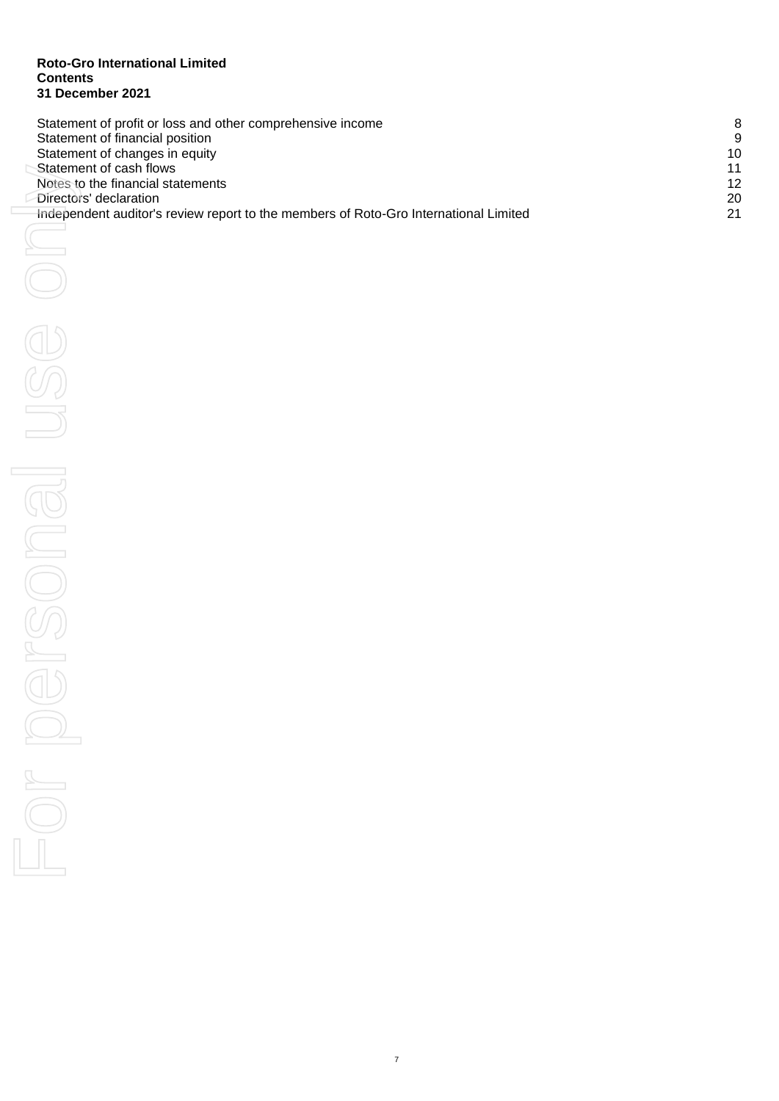### **Roto -Gro International Limited Contents 31 December 2021**

| Statement of profit or loss and other comprehensive income                           | 8  |
|--------------------------------------------------------------------------------------|----|
| Statement of financial position                                                      | 9  |
| Statement of changes in equity                                                       | 10 |
| Statement of cash flows                                                              | 11 |
| Notes to the financial statements                                                    | 12 |
| Directors' declaration                                                               | 20 |
| Independent auditor's review report to the members of Roto-Gro International Limited | 21 |

 $\Box$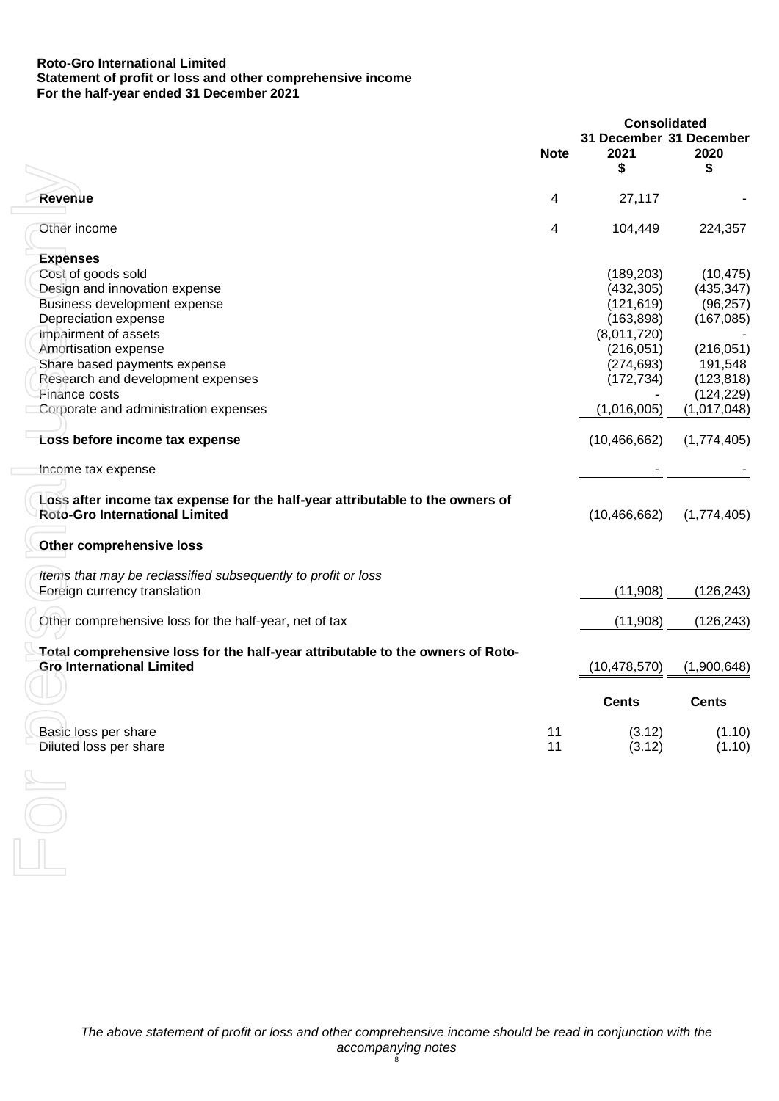## **Roto-Gro International Limited Statement of profit or loss and other comprehensive income For the half-year ended 31 December 2021**

|                                                                                                                        |             | <b>Consolidated</b>             |              |
|------------------------------------------------------------------------------------------------------------------------|-------------|---------------------------------|--------------|
|                                                                                                                        | <b>Note</b> | 31 December 31 December<br>2021 | 2020         |
|                                                                                                                        |             | \$                              | \$           |
| <b>Revenue</b>                                                                                                         | 4           | 27,117                          |              |
|                                                                                                                        |             |                                 |              |
| Other income                                                                                                           | 4           | 104,449                         | 224,357      |
| <b>Expenses</b>                                                                                                        |             |                                 |              |
| Cost of goods sold                                                                                                     |             | (189, 203)                      | (10, 475)    |
| Design and innovation expense                                                                                          |             | (432, 305)                      | (435, 347)   |
| Business development expense                                                                                           |             | (121, 619)                      | (96, 257)    |
| Depreciation expense                                                                                                   |             | (163, 898)                      | (167, 085)   |
| Impairment of assets                                                                                                   |             | (8,011,720)                     |              |
| Amortisation expense                                                                                                   |             | (216, 051)                      | (216, 051)   |
| Share based payments expense                                                                                           |             | (274, 693)                      | 191,548      |
|                                                                                                                        |             |                                 |              |
| Research and development expenses                                                                                      |             | (172, 734)                      | (123, 818)   |
| Finance costs                                                                                                          |             |                                 | (124, 229)   |
| Corporate and administration expenses                                                                                  |             | (1,016,005)                     | (1,017,048)  |
| Loss before income tax expense                                                                                         |             | (10, 466, 662)                  | (1,774,405)  |
| Income tax expense                                                                                                     |             |                                 |              |
|                                                                                                                        |             |                                 |              |
| Loss after income tax expense for the half-year attributable to the owners of<br><b>Roto-Gro International Limited</b> |             | (10, 466, 662)                  | (1,774,405)  |
| <b>Other comprehensive loss</b>                                                                                        |             |                                 |              |
| Items that may be reclassified subsequently to profit or loss                                                          |             |                                 |              |
| Eoreign currency translation                                                                                           |             | (11,908)                        | (126, 243)   |
| Other comprehensive loss for the half-year, net of tax                                                                 |             | (11,908)                        | (126, 243)   |
|                                                                                                                        |             |                                 |              |
| Total comprehensive loss for the half-year attributable to the owners of Roto-                                         |             |                                 |              |
| <b>Gro International Limited</b>                                                                                       |             | (10, 478, 570)                  | (1,900,648)  |
|                                                                                                                        |             | Cents                           | <b>Cents</b> |
|                                                                                                                        |             |                                 |              |
| Basic loss per share                                                                                                   | 11          | (3.12)                          | (1.10)       |
| Diluted loss per share                                                                                                 | 11          | (3.12)                          | (1.10)       |
|                                                                                                                        |             |                                 |              |
|                                                                                                                        |             |                                 |              |
|                                                                                                                        |             |                                 |              |
|                                                                                                                        |             |                                 |              |
|                                                                                                                        |             |                                 |              |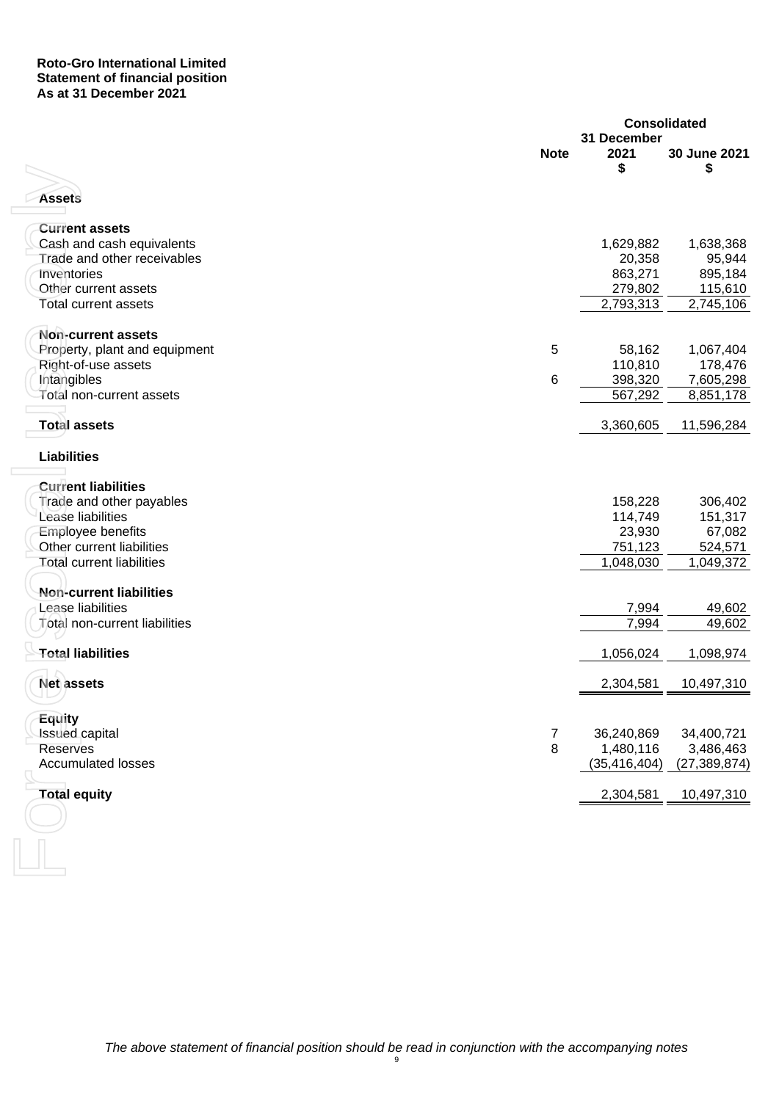## **Roto-Gro International Limited Statement of financial position As at 31 December 2021**

|                                  |             | <b>Consolidated</b> |                |
|----------------------------------|-------------|---------------------|----------------|
|                                  | <b>Note</b> | 31 December<br>2021 | 30 June 2021   |
|                                  |             | S                   | \$             |
|                                  |             |                     |                |
| <b>Assets</b>                    |             |                     |                |
| <b>Current assets</b>            |             |                     |                |
| Cash and cash equivalents        |             | 1,629,882           | 1,638,368      |
| Trade and other receivables      |             | 20,358              | 95,944         |
| Inventories                      |             | 863,271             | 895,184        |
| Other current assets             |             | 279,802             | 115,610        |
| <b>Total current assets</b>      |             | 2,793,313           | 2,745,106      |
| Non-current assets               |             |                     |                |
| Property, plant and equipment    | 5           | 58,162              | 1,067,404      |
| Right-of-use assets              |             | 110,810             | 178,476        |
| Intangibles                      | 6           | 398,320             | 7,605,298      |
| Total non-current assets         |             | 567,292             | 8,851,178      |
| <b>Total assets</b>              |             | 3,360,605           | 11,596,284     |
| <b>Liabilities</b>               |             |                     |                |
| <b>Current liabilities</b>       |             |                     |                |
| Trade and other payables         |             | 158,228             | 306,402        |
| Lease liabilities                |             | 114,749             | 151,317        |
| Employee benefits                |             | 23,930              | 67,082         |
| Other current liabilities        |             | 751,123             | 524,571        |
| <b>Total current liabilities</b> |             | 1,048,030           | 1,049,372      |
| Non-current liabilities          |             |                     |                |
| Lease liabilities                |             | 7,994               | 49,602         |
| Total non-current liabilities    |             | 7,994               | 49,602         |
| <b>Total liabilities</b>         |             | 1,056,024           | 1,098,974      |
| Net assets                       |             | 2,304,581           | 10,497,310     |
|                                  |             |                     |                |
| Equity                           |             |                     |                |
| <b>Issued capital</b>            | 7           | 36,240,869          | 34,400,721     |
| <b>Reserves</b>                  | 8           | 1,480,116           | 3,486,463      |
| <b>Accumulated losses</b>        |             | (35, 416, 404)      | (27, 389, 874) |
| <b>Total equity</b>              |             | 2,304,581           | 10,497,310     |
|                                  |             |                     |                |
|                                  |             |                     |                |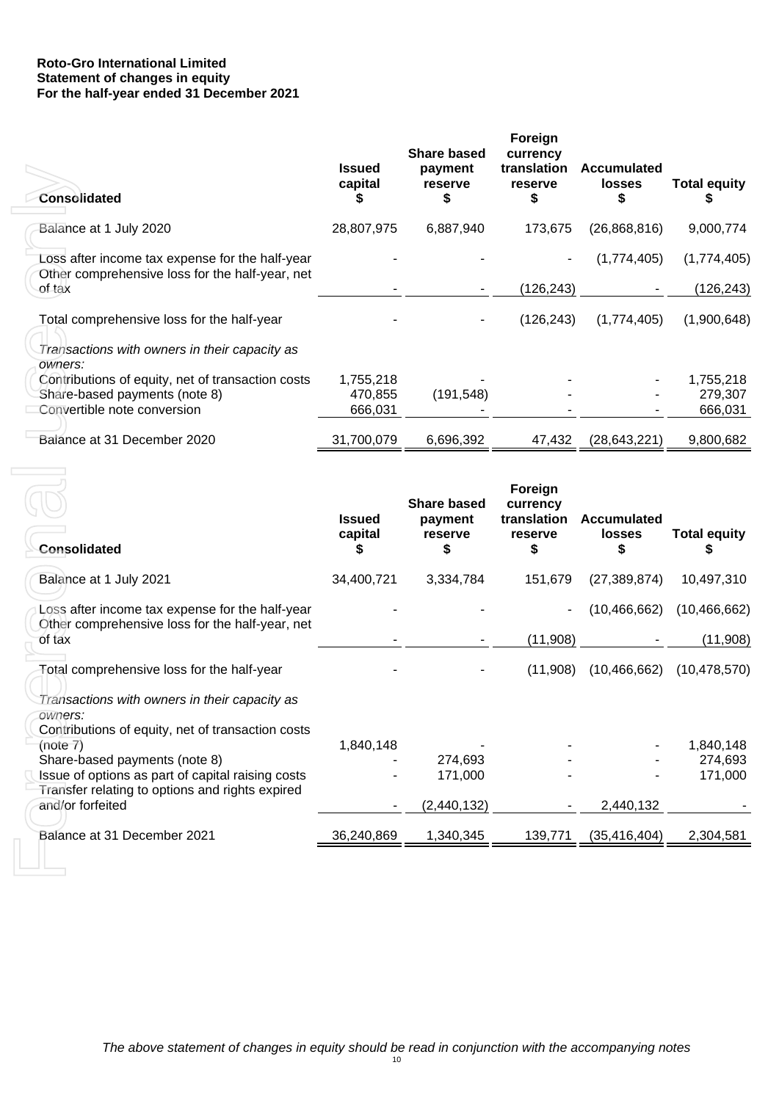# **Roto-Gro International Limited Statement of changes in equity For the half-year ended 31 December 2021**

| <b>Consolidated</b>                                                                                | <b>Issued</b><br>capital | <b>Share based</b><br>payment<br><b>reserve</b><br>S | Foreign<br>currency<br>translation<br><b>reserve</b><br>\$ | Accumulated<br><b>losses</b> | Total equity |
|----------------------------------------------------------------------------------------------------|--------------------------|------------------------------------------------------|------------------------------------------------------------|------------------------------|--------------|
| Balance at 1 July 2020                                                                             | 28,807,975               | 6,887,940                                            | 173,675                                                    | (26,868,816)                 | 9,000,774    |
| Loss after income tax expense for the half-year<br>Other comprehensive loss for the half-year, net |                          |                                                      |                                                            | (1,774,405)                  | (1,774,405)  |
| of tax                                                                                             |                          |                                                      | (126, 243)                                                 |                              | (126, 243)   |
| Total comprehensive loss for the half-year                                                         |                          |                                                      | (126, 243)                                                 | (1,774,405)                  | (1,900,648)  |
| Transactions with owners in their capacity as<br>owners:                                           |                          |                                                      |                                                            |                              |              |
| Contributions of equity, net of transaction costs                                                  | 1,755,218                |                                                      |                                                            |                              | 1,755,218    |
| Share-based payments (note 8)                                                                      | 470,855                  | (191, 548)                                           |                                                            |                              | 279,307      |
| Convertible note conversion                                                                        | 666,031                  |                                                      |                                                            |                              | 666,031      |
| Balance at 31 December 2020                                                                        | 31,700,079               | 6,696,392                                            | 47,432                                                     | (28, 643, 221)               | 9,800,682    |

| Consolidated                                                                                                                                        | <b>Issued</b><br>capital<br>\$  | payment<br>reserve<br>\$      | translation<br>reserve<br>S        | <b>Accumulated</b><br><b>losses</b><br>S | <b>Total equity</b><br>5        |
|-----------------------------------------------------------------------------------------------------------------------------------------------------|---------------------------------|-------------------------------|------------------------------------|------------------------------------------|---------------------------------|
| Balance at 1 July 2020                                                                                                                              | 28,807,975                      | 6,887,940                     | 173,675                            | (26,868,816)                             | 9,000,774                       |
| Loss after income tax expense for the half-year<br>Other comprehensive loss for the half-year, net                                                  |                                 |                               |                                    | (1,774,405)                              | (1,774,405)                     |
| of tax                                                                                                                                              |                                 |                               | (126, 243)                         |                                          | (126, 243)                      |
| Total comprehensive loss for the half-year<br>Transactions with owners in their capacity as                                                         |                                 |                               | (126, 243)                         | (1,774,405)                              | (1,900,648)                     |
| owners:<br>Contributions of equity, net of transaction costs<br>Share-based payments (note 8)<br>Convertible note conversion                        | 1,755,218<br>470,855<br>666,031 | (191, 548)                    |                                    |                                          | 1,755,218<br>279,307<br>666,031 |
| Balance at 31 December 2020                                                                                                                         | 31,700,079                      | 6,696,392                     | 47,432                             | (28, 643, 221)                           | 9,800,682                       |
|                                                                                                                                                     | <b>Issued</b>                   | <b>Share based</b><br>payment | Foreign<br>currency<br>translation | <b>Accumulated</b>                       |                                 |
| <b>Consolidated</b>                                                                                                                                 | capital<br>\$                   | reserve<br>S                  | reserve<br>S                       | <b>losses</b><br>\$                      | <b>Total equity</b><br>\$       |
| Balance at 1 July 2021                                                                                                                              | 34,400,721                      | 3,334,784                     | 151,679                            | (27, 389, 874)                           | 10,497,310                      |
| Loss after income tax expense for the half-year<br>Other comprehensive loss for the half-year, net                                                  |                                 |                               |                                    | (10, 466, 662)                           | (10, 466, 662)                  |
| of tax                                                                                                                                              |                                 |                               | (11,908)                           |                                          | (11,908)                        |
| Total comprehensive loss for the half-year<br>Transactions with owners in their capacity as<br>owners:                                              |                                 |                               | (11,908)                           | (10, 466, 662)                           | (10, 478, 570)                  |
| Contributions of equity, net of transaction costs<br>(note 7)<br>Share-based payments (note 8)<br>Issue of options as part of capital raising costs | 1,840,148                       | 274,693<br>171,000            |                                    |                                          | 1,840,148<br>274,693<br>171,000 |
| Transfer relating to options and rights expired<br>and/or forfeited                                                                                 |                                 | (2,440,132)                   |                                    | 2,440,132                                |                                 |
| Balance at 31 December 2021                                                                                                                         | 36,240,869                      | 1,340,345                     | 139,771                            | (35, 416, 404)                           | 2,304,581                       |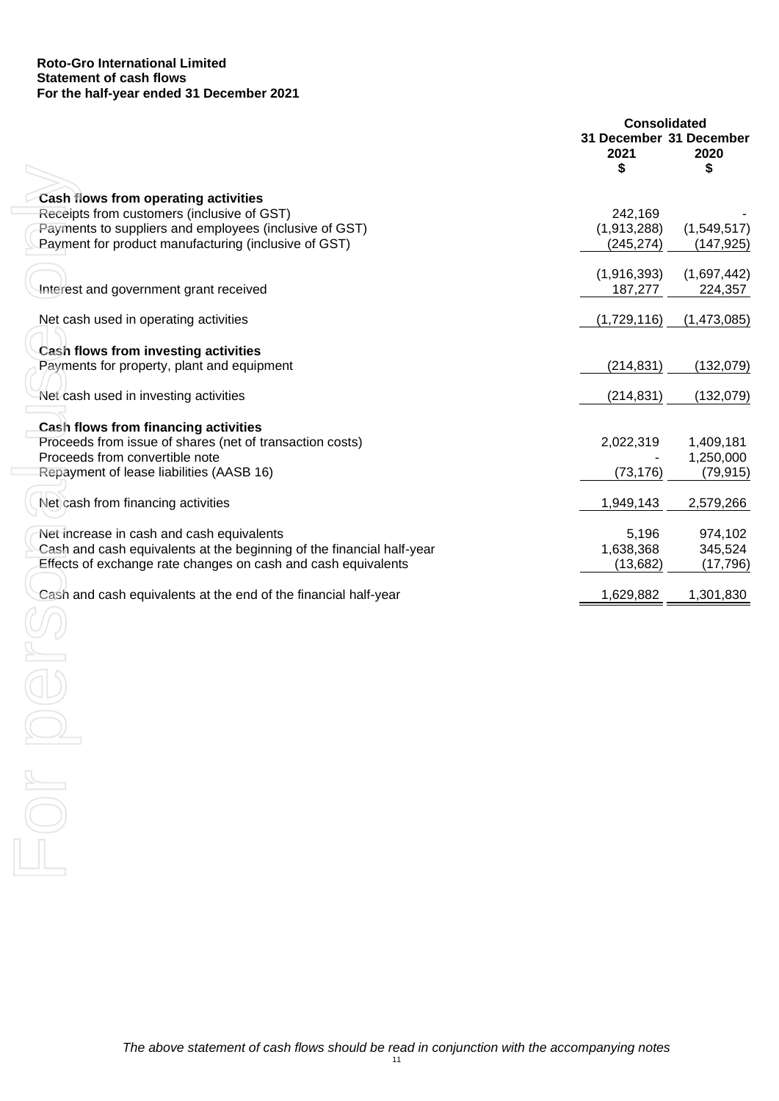### **Roto-Gro International Limited Statement of cash flows For the half-year ended 31 December 2021**

|                                                                                                                | <b>Consolidated</b>                   |                           |
|----------------------------------------------------------------------------------------------------------------|---------------------------------------|---------------------------|
|                                                                                                                | 31 December 31 December<br>2021<br>\$ | 2020<br>\$                |
|                                                                                                                |                                       |                           |
| Cash flows from operating activities                                                                           |                                       |                           |
| Receipts from customers (inclusive of GST)                                                                     | 242,169                               |                           |
| Payments to suppliers and employees (inclusive of GST)<br>Payment for product manufacturing (inclusive of GST) | (1,913,288)<br>(245, 274)             | (1,549,517)<br>(147, 925) |
|                                                                                                                |                                       |                           |
| Interest and government grant received                                                                         | (1,916,393)<br>187,277                | (1,697,442)<br>224,357    |
| Net cash used in operating activities                                                                          | (1,729,116)                           | (1,473,085)               |
| <b>Cash flows from investing activities</b>                                                                    |                                       |                           |
| Payments for property, plant and equipment                                                                     | (214, 831)                            | (132,079)                 |
| Net cash used in investing activities                                                                          | (214, 831)                            | (132,079)                 |
| Cash flows from financing activities                                                                           |                                       |                           |
| Proceeds from issue of shares (net of transaction costs)                                                       | 2,022,319                             | 1,409,181                 |
| Proceeds from convertible note                                                                                 |                                       | 1,250,000                 |
| Repayment of lease liabilities (AASB 16)                                                                       | (73, 176)                             | (79, 915)                 |
| Net cash from financing activities                                                                             | 1,949,143                             | 2,579,266                 |
| Net increase in cash and cash equivalents                                                                      | 5,196                                 | 974,102                   |
| Cash and cash equivalents at the beginning of the financial half-year                                          | 1,638,368                             | 345,524                   |
| Effects of exchange rate changes on cash and cash equivalents                                                  | (13,682)                              | (17, 796)                 |
| Cash and cash equivalents at the end of the financial half-year                                                | 1,629,882                             | 1,301,830                 |
|                                                                                                                |                                       |                           |
|                                                                                                                |                                       |                           |
|                                                                                                                |                                       |                           |
|                                                                                                                |                                       |                           |
|                                                                                                                |                                       |                           |
|                                                                                                                |                                       |                           |
|                                                                                                                |                                       |                           |
|                                                                                                                |                                       |                           |
|                                                                                                                |                                       |                           |
|                                                                                                                |                                       |                           |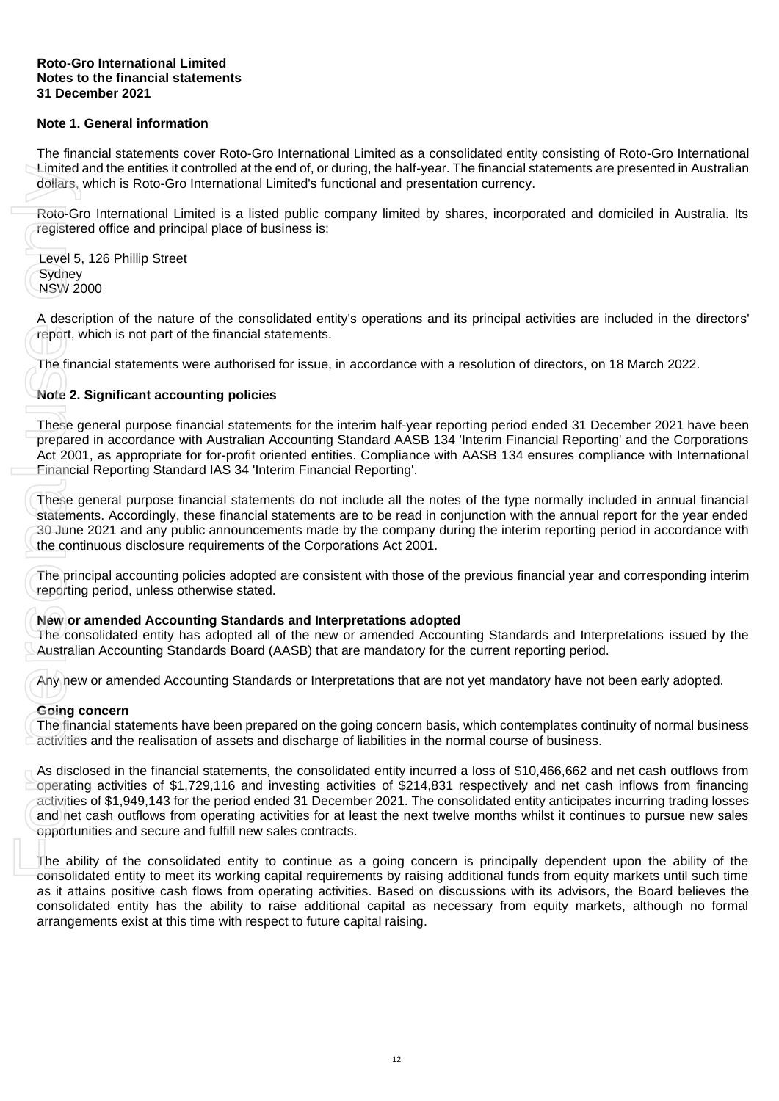### **Roto-Gro International Limited Notes to the financial statements 31 December 2021**

# **Note 1. General information**

The financial statements cover Roto-Gro International Limited as a consolidated entity consisting of Roto-Gro International Limited and the entities it controlled at the end of, or during, the half-year. The financial statements are presented in Australian dollars, which is Roto-Gro International Limited's functional and presentation currency.

Roto-Gro International Limited is a listed public company limited by shares, incorporated and domiciled in Australia. Its registered office and principal place of business is:

Level 5, 126 Phillip Street **Sydney** NSW 2000

A description of the nature of the consolidated entity's operations and its principal activities are included in the directors' report, which is not part of the financial statements.

The financial statements were authorised for issue, in accordance with a resolution of directors, on 18 March 2022.

# **Note 2. Significant accounting policies**

These general purpose financial statements for the interim half-year reporting period ended 31 December 2021 have been prepared in accordance with Australian Accounting Standard AASB 134 'Interim Financial Reporting' and the Corporations Act 2001, as appropriate for for-profit oriented entities. Compliance with AASB 134 ensures compliance with International Financial Reporting Standard IAS 34 'Interim Financial Reporting'.

These general purpose financial statements do not include all the notes of the type normally included in annual financial statements. Accordingly, these financial statements are to be read in conjunction with the annual report for the year ended 30 June 2021 and any public announcements made by the company during the interim reporting period in accordance with the continuous disclosure requirements of the Corporations Act 2001.

The principal accounting policies adopted are consistent with those of the previous financial year and corresponding interim reporting period, unless otherwise stated.

### **New or amended Accounting Standards and Interpretations adopted**

The consolidated entity has adopted all of the new or amended Accounting Standards and Interpretations issued by the Australian Accounting Standards Board (AASB) that are mandatory for the current reporting period.

Any new or amended Accounting Standards or Interpretations that are not yet mandatory have not been early adopted.

### **Going concern**

The financial statements have been prepared on the going concern basis, which contemplates continuity of normal business activities and the realisation of assets and discharge of liabilities in the normal course of business.

As disclosed in the financial statements, the consolidated entity incurred a loss of \$10,466,662 and net cash outflows from operating activities of \$1,729,116 and investing activities of \$214,831 respectively and net cash inflows from financing activities of \$1,949,143 for the period ended 31 December 2021. The consolidated entity anticipates incurring trading losses and net cash outflows from operating activities for at least the next twelve months whilst it continues to pursue new sales opportunities and secure and fulfill new sales contracts. Limited and the entities it controlled at the end of or during, the final-<br>The final-policies, which is Roto-Gro International Limiteds functional and pre-<br>Roto-Gro International Limited is a listed public company limited<br>

The ability of the consolidated entity to continue as a going concern is principally dependent upon the ability of the consolidated entity to meet its working capital requirements by raising additional funds from equity markets until such time as it attains positive cash flows from operating activities. Based on discussions with its advisors, the Board believes the consolidated entity has the ability to raise additional capital as necessary from equity markets, although no formal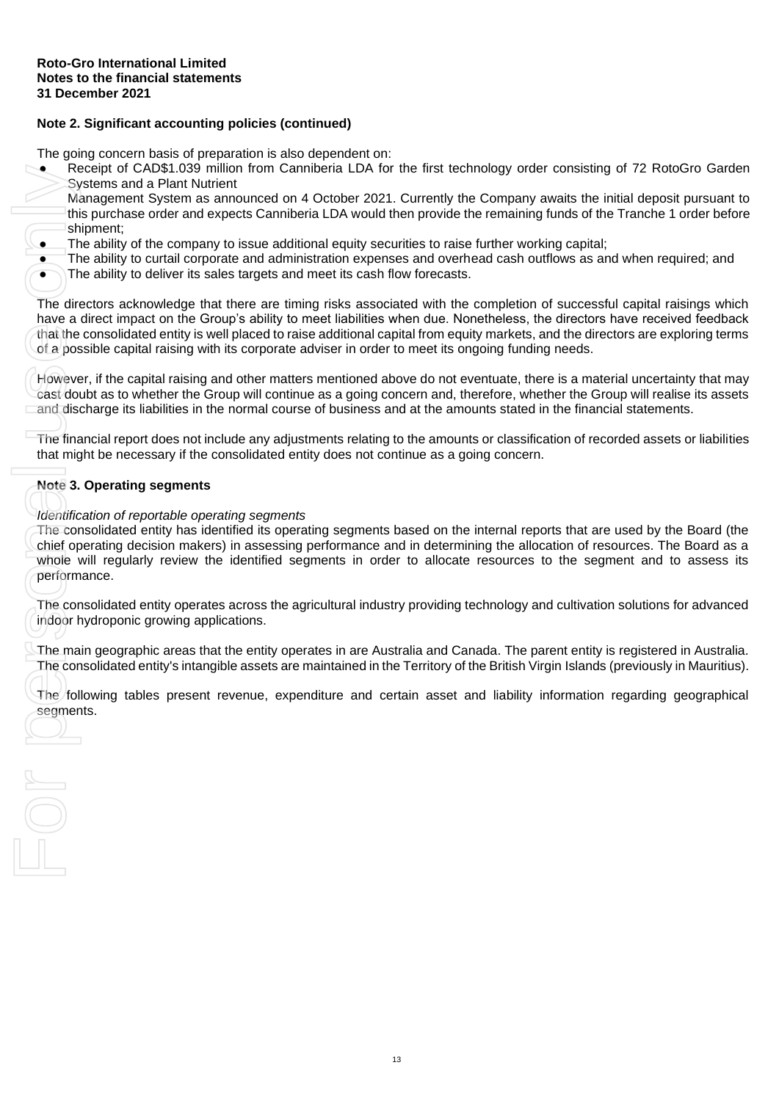# **Note 2. Significant accounting policies (continued)**

The going concern basis of preparation is also dependent on:

Receipt of CAD\$1.039 million from Canniberia LDA for the first technology order consisting of 72 RotoGro Garden Systems and a Plant Nutrient

Management System as announced on 4 October 2021. Currently the Company awaits the initial deposit pursuant to this purchase order and expects Canniberia LDA would then provide the remaining funds of the Tranche 1 order before shipment:

- The ability of the company to issue additional equity securities to raise further working capital;
- The ability to curtail corporate and administration expenses and overhead cash outflows as and when required; and
- The ability to deliver its sales targets and meet its cash flow forecasts.

The directors acknowledge that there are timing risks associated with the completion of successful capital raisings which have a direct impact on the Group's ability to meet liabilities when due. Nonetheless, the directors have received feedback that the consolidated entity is well placed to raise additional capital from equity markets, and the directors are exploring terms of a possible capital raising with its corporate adviser in order to meet its ongoing funding needs.

However, if the capital raising and other matters mentioned above do not eventuate, there is a material uncertainty that may cast doubt as to whether the Group will continue as a going concern and, therefore, whether the Group will realise its assets and discharge its liabilities in the normal course of business and at the amounts stated in the financial statements.

The financial report does not include any adjustments relating to the amounts or classification of recorded assets or liabilities that might be necessary if the consolidated entity does not continue as a going concern.

# **Note 3. Operating segments**

 $\frac{1}{\sqrt{2}}$ 

*Identification of reportable operating segments*

The consolidated entity has identified its operating segments based on the internal reports that are used by the Board (the chief operating decision makers) in assessing performance and in determining the allocation of resources. The Board as a whole will regularly review the identified segments in order to allocate resources to the segment and to assess its performance. Rece<br>
Syste<br>
Mana<br>
this p<br>
shipm<br>
The aircle of a possit<br>
The direct<br>
The direct<br>
The direct<br>
taxe a direct<br>
of a possit<br>
However, icast doubt<br>
and discha<br>
The financ<br>
that might<br>
Note 3. Of<br>
Identificati<br>
The conso<br>
chief

The consolidated entity operates across the agricultural industry providing technology and cultivation solutions for advanced indoor hydroponic growing applications.

The main geographic areas that the entity operates in are Australia and Canada. The parent entity is registered in Australia. The consolidated entity's intangible assets are maintained in the Territory of the British Virgin Islands (previously in Mauritius).

The following tables present revenue, expenditure and certain asset and liability information regarding geographical segments.

13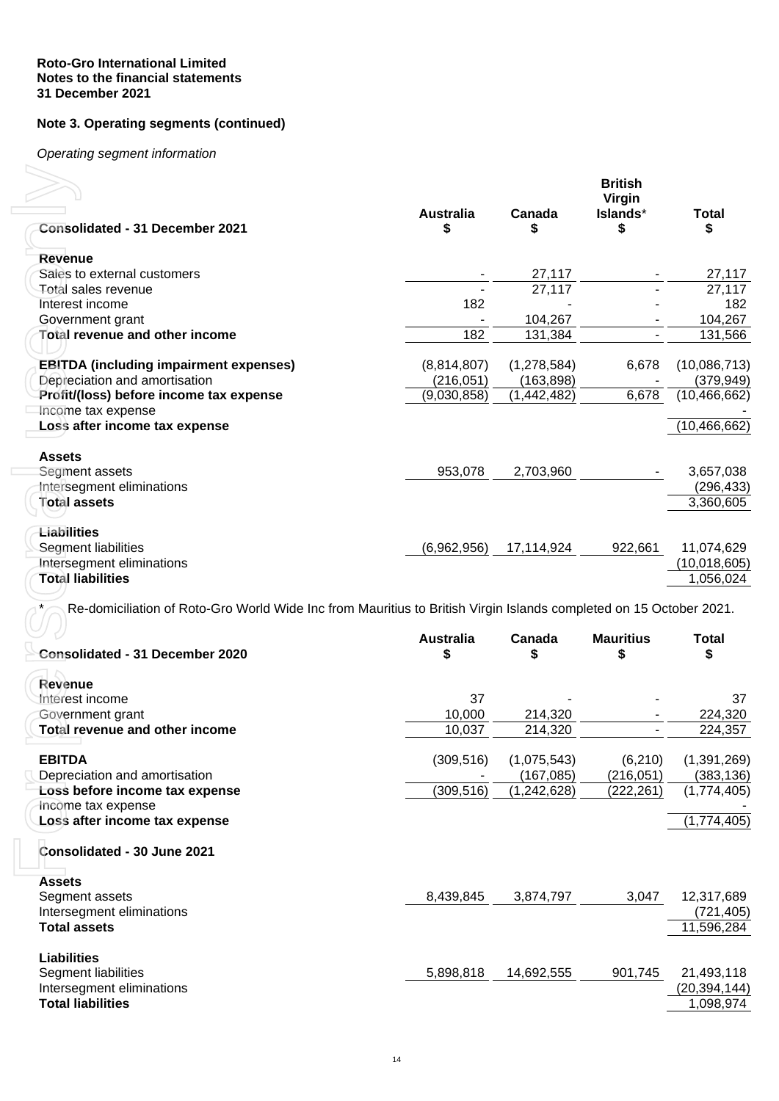## **Roto-Gro International Limited Notes to the financial statements 31 December 2021**

# **Note 3. Operating segments (continued)**

*Operating segment information*

|                     | <b>Consolidated - 31 December 2021</b>                                                                                                                       | <b>Australia</b><br>\$ | Canada<br>\$                | <b>British</b><br>Virgin<br>Islands*<br>\$ | <b>Total</b><br>\$          |
|---------------------|--------------------------------------------------------------------------------------------------------------------------------------------------------------|------------------------|-----------------------------|--------------------------------------------|-----------------------------|
|                     |                                                                                                                                                              |                        |                             |                                            |                             |
| <b>Revenue</b>      |                                                                                                                                                              |                        |                             |                                            |                             |
|                     | Sales to external customers                                                                                                                                  |                        | 27,117                      |                                            | 27,117                      |
|                     | Total sales revenue                                                                                                                                          |                        | 27,117                      |                                            | 27,117                      |
|                     | Interest income                                                                                                                                              | 182                    | 104,267                     |                                            | 182<br>104,267              |
|                     | Government grant<br><b>Total revenue and other income</b>                                                                                                    | 182                    | 131,384                     |                                            | 131,566                     |
|                     |                                                                                                                                                              |                        |                             |                                            |                             |
|                     | <b>EBITDA (including impairment expenses)</b>                                                                                                                | (8,814,807)            | (1, 278, 584)               | 6,678                                      | (10,086,713)                |
|                     | Depreciation and amortisation                                                                                                                                | (216, 051)             | (163, 898)                  |                                            | (379, 949)                  |
|                     | Profit/(loss) before income tax expense                                                                                                                      | (9,030,858)            | (1, 442, 482)               | 6,678                                      | (10, 466, 662)              |
|                     | Income tax expense                                                                                                                                           |                        |                             |                                            |                             |
|                     | Loss after income tax expense                                                                                                                                |                        |                             |                                            | (10, 466, 662)              |
| <b>Assets</b>       |                                                                                                                                                              |                        |                             |                                            |                             |
|                     | Segment assets                                                                                                                                               | 953,078                | 2,703,960                   |                                            | 3,657,038                   |
|                     | Intersegment eliminations                                                                                                                                    |                        |                             |                                            | (296, 433)                  |
| <b>Total assets</b> |                                                                                                                                                              |                        |                             |                                            | 3,360,605                   |
|                     |                                                                                                                                                              |                        |                             |                                            |                             |
| Liabilities         | Segment liabilities                                                                                                                                          | (6,962,956)            | 17,114,924                  | 922,661                                    | 11,074,629                  |
|                     |                                                                                                                                                              |                        |                             |                                            | (10, 018, 605)              |
|                     | <b>Intersegment eliminations</b><br><b>Total liabilities</b>                                                                                                 |                        |                             |                                            | 1,056,024                   |
|                     | Re-domiciliation of Roto-Gro World Wide Inc from Mauritius to British Virgin Islands completed on 15 October 2021.<br><b>Consolidated - 31 December 2020</b> | <b>Australia</b><br>S  | Canada<br>\$                | <b>Mauritius</b><br>\$                     | <b>Total</b><br>\$          |
|                     |                                                                                                                                                              |                        |                             |                                            |                             |
| Revenue             |                                                                                                                                                              |                        |                             |                                            |                             |
|                     | Interest income                                                                                                                                              | 37                     |                             |                                            | 37                          |
|                     | Government grant                                                                                                                                             | 10,000                 | 214,320                     |                                            | 224,320                     |
|                     | Total revenue and other income                                                                                                                               | 10,037                 | 214,320                     |                                            | 224,357                     |
|                     |                                                                                                                                                              |                        |                             |                                            |                             |
| <b>EBITDA</b>       |                                                                                                                                                              | (309, 516)             | (1,075,543)                 | (6, 210)                                   | (1, 391, 269)               |
|                     | Depreciation and amortisation<br>Loss before income tax expense                                                                                              | (309, 516)             | (167, 085)<br>(1, 242, 628) | (216, 051)<br>(222, 261)                   | (383, 136)<br>(1,774,405)   |
|                     | Income tax expense                                                                                                                                           |                        |                             |                                            |                             |
|                     | Loss after income tax expense                                                                                                                                |                        |                             |                                            | (1,774,405)                 |
|                     | Consolidated - 30 June 2021                                                                                                                                  |                        |                             |                                            |                             |
| <b>Assets</b>       |                                                                                                                                                              |                        |                             |                                            |                             |
|                     | Segment assets                                                                                                                                               | 8,439,845              | 3,874,797                   | 3,047                                      | 12,317,689                  |
|                     | Intersegment eliminations                                                                                                                                    |                        |                             |                                            | (721, 405)                  |
| <b>Total assets</b> |                                                                                                                                                              |                        |                             |                                            | 11,596,284                  |
| <b>Liabilities</b>  |                                                                                                                                                              |                        |                             |                                            |                             |
|                     | Segment liabilities                                                                                                                                          | 5,898,818              | 14,692,555                  | 901,745                                    | 21,493,118                  |
|                     | Intersegment eliminations<br><b>Total liabilities</b>                                                                                                        |                        |                             |                                            | (20, 394, 144)<br>1,098,974 |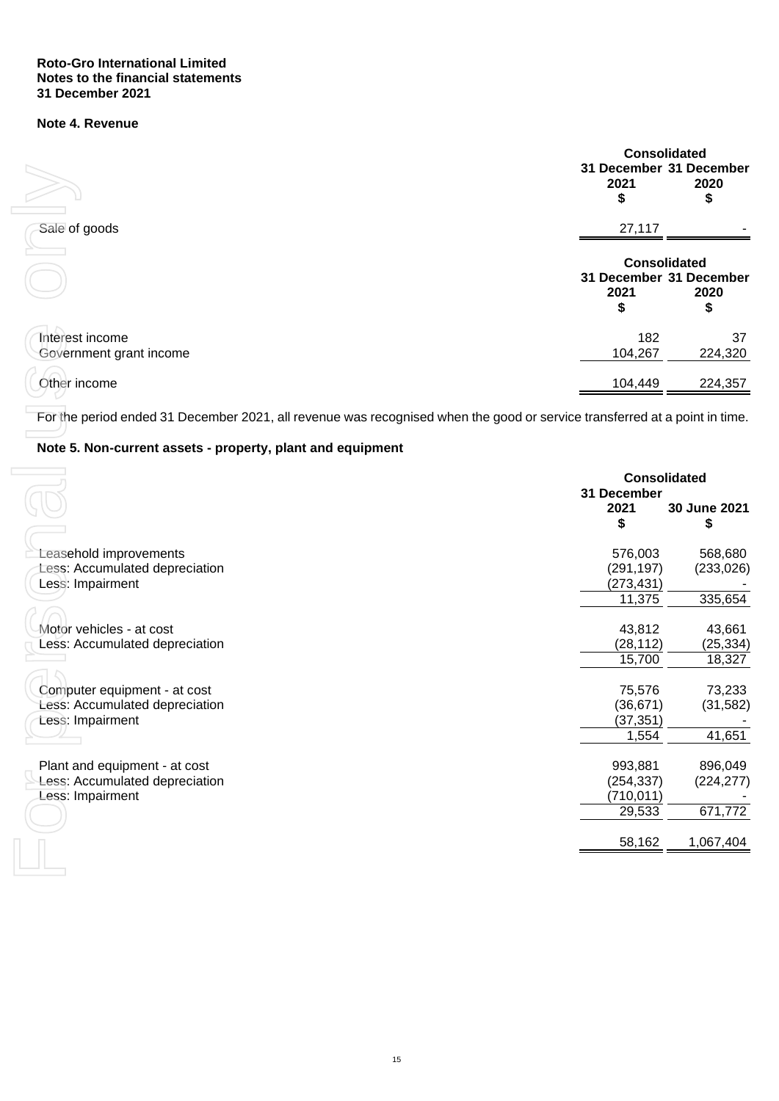## **Roto-Gro International Limited Notes to the financial statements 31 December 2021**

# **Note 4. Revenue**

<span id="page-17-0"></span>

|                                            | <b>Consolidated</b><br>31 December 31 December<br>2021<br>\$               | 2020<br>\$    |  |
|--------------------------------------------|----------------------------------------------------------------------------|---------------|--|
| Sale of goods                              | 27,117                                                                     |               |  |
|                                            | <b>Consolidated</b><br>31 December 31 December<br>2020<br>2021<br>\$<br>\$ |               |  |
| Interest income<br>Government grant income | 182<br>104,267                                                             | 37<br>224,320 |  |
| Other income                               | 104,449                                                                    | 224,357       |  |

# <span id="page-17-1"></span>**Note 5. Non-current assets - property, plant and equipment**

|                                                                                                                                                                                          | 2021<br>\$                          | 31 December 31 December<br>2020<br>\$                        |
|------------------------------------------------------------------------------------------------------------------------------------------------------------------------------------------|-------------------------------------|--------------------------------------------------------------|
| Sale of goods                                                                                                                                                                            | 27,117                              |                                                              |
|                                                                                                                                                                                          | 2021<br>\$                          | <b>Consolidated</b><br>31 December 31 December<br>2020<br>\$ |
| Interest income<br>Government grant income                                                                                                                                               | 182<br>104,267                      | 37<br>224,320                                                |
| Other income                                                                                                                                                                             | 104,449                             | 224,357                                                      |
| For the period ended 31 December 2021, all revenue was recognised when the good or service transferred at a point in time.<br>Note 5. Non-current assets - property, plant and equipment |                                     |                                                              |
|                                                                                                                                                                                          | 31 December<br>2021                 | <b>Consolidated</b><br>30 June 2021                          |
|                                                                                                                                                                                          | \$                                  | \$                                                           |
| Leasehold improvements<br>Less: Accumulated depreciation<br>Less: Impairment                                                                                                             | 576,003<br>(291, 197)<br>(273, 431) | 568,680<br>(233, 026)                                        |
|                                                                                                                                                                                          | 11,375                              | 335,654                                                      |
| Motor vehicles - at cost<br>Less: Accumulated depreciation                                                                                                                               | 43,812<br>(28, 112)                 | 43,661<br>(25, 334)                                          |
|                                                                                                                                                                                          | 15,700                              | 18,327                                                       |
| Computer equipment - at cost<br>Less: Accumulated depreciation                                                                                                                           | 75,576<br>(36, 671)                 | 73,233<br>(31, 582)                                          |
| Less: Impairment                                                                                                                                                                         | (37, 351)<br>1,554                  | 41,651                                                       |
| Plant and equipment - at cost<br>Less: Accumulated depreciation                                                                                                                          | 993,881<br>(254, 337)               | 896,049<br>(224, 277)                                        |
| Less: Impairment                                                                                                                                                                         | (710, 011)<br>29,533                | 671,772                                                      |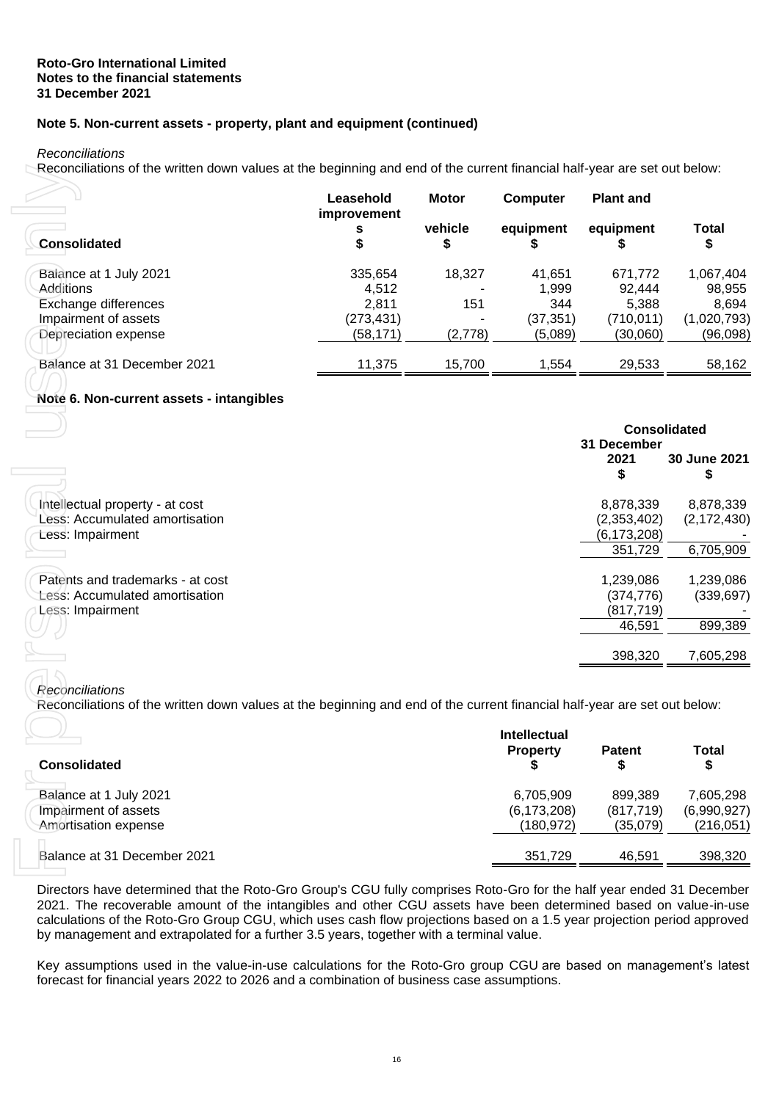# **Note 5. Non-current assets - property, plant and equipment (continued)**

*Reconciliations*

Reconciliations of the written down values at the beginning and end of the current financial half-year are set out below:

|                             | Leasehold<br><i>improvement</i> | <b>Motor</b> | <b>Computer</b> | <b>Plant and</b> |             |
|-----------------------------|---------------------------------|--------------|-----------------|------------------|-------------|
| <b>Consolidated</b>         | s<br>\$                         | vehicle<br>⊅ | equipment       | equipment        | Total<br>\$ |
| Balance at 1 July 2021      | 335,654                         | 18.327       | 41,651          | 671,772          | 1,067,404   |
| Additions                   | 4,512                           |              | 1,999           | 92,444           | 98,955      |
| Exchange differences        | 2.811                           | 151          | 344             | 5,388            | 8,694       |
| Impairment of assets        | (273,431)                       |              | (37,351)        | (710,011)        | (1,020,793) |
| Depreciation expense        | (58, 171)                       | (2,778)      | (5,089)         | (30,060)         | (96,098)    |
| Balance at 31 December 2021 | 11.375                          | 15.700       | 1,554           | 29,533           | 58,162      |
|                             |                                 |              |                 |                  |             |

# <span id="page-18-0"></span>**Note 6. Non-current assets - intangibles**

|                                                                                                                                                                                                                                                                                                                                                                                                                                                               | Leasehold<br>improvement | <b>Motor</b>  | Computer            | <b>Plant and</b>    |                    |
|---------------------------------------------------------------------------------------------------------------------------------------------------------------------------------------------------------------------------------------------------------------------------------------------------------------------------------------------------------------------------------------------------------------------------------------------------------------|--------------------------|---------------|---------------------|---------------------|--------------------|
| <b>Consolidated</b>                                                                                                                                                                                                                                                                                                                                                                                                                                           | s<br>\$                  | vehicle<br>\$ | equipment<br>\$     | equipment<br>\$     | <b>Total</b><br>\$ |
| Balance at 1 July 2021                                                                                                                                                                                                                                                                                                                                                                                                                                        | 335,654                  | 18,327        | 41,651              | 671,772             | 1,067,404          |
| Additions                                                                                                                                                                                                                                                                                                                                                                                                                                                     | 4,512                    |               | 1,999               | 92,444              | 98,955             |
| Exchange differences                                                                                                                                                                                                                                                                                                                                                                                                                                          | 2,811                    | 151           | 344                 | 5,388               | 8,694              |
| Impairment of assets                                                                                                                                                                                                                                                                                                                                                                                                                                          | (273, 431)               |               | (37, 351)           | (710, 011)          | (1,020,793)        |
| Depreciation expense                                                                                                                                                                                                                                                                                                                                                                                                                                          | (58, 171)                | (2,778)       | (5,089)             | (30,060)            | (96,098)           |
| Balance at 31 December 2021                                                                                                                                                                                                                                                                                                                                                                                                                                   | 11,375                   | 15,700        | 1,554               | 29,533              | 58,162             |
| Note 6. Non-current assets - intangibles                                                                                                                                                                                                                                                                                                                                                                                                                      |                          |               |                     |                     |                    |
|                                                                                                                                                                                                                                                                                                                                                                                                                                                               |                          |               |                     | <b>Consolidated</b> |                    |
|                                                                                                                                                                                                                                                                                                                                                                                                                                                               |                          |               |                     | 31 December         |                    |
|                                                                                                                                                                                                                                                                                                                                                                                                                                                               |                          |               |                     | 2021                | 30 June 2021       |
|                                                                                                                                                                                                                                                                                                                                                                                                                                                               |                          |               |                     | \$                  | S                  |
| Intellectual property - at cost                                                                                                                                                                                                                                                                                                                                                                                                                               |                          |               |                     | 8,878,339           | 8,878,339          |
| Less: Accumulated amortisation                                                                                                                                                                                                                                                                                                                                                                                                                                |                          |               |                     | (2,353,402)         | (2, 172, 430)      |
| Less: Impairment                                                                                                                                                                                                                                                                                                                                                                                                                                              |                          |               |                     | (6, 173, 208)       |                    |
|                                                                                                                                                                                                                                                                                                                                                                                                                                                               |                          |               |                     | 351,729             | 6,705,909          |
| Patents and trademarks - at cost                                                                                                                                                                                                                                                                                                                                                                                                                              |                          |               |                     | 1,239,086           | 1,239,086          |
| <b>Less: Accumulated amortisation</b>                                                                                                                                                                                                                                                                                                                                                                                                                         |                          |               |                     | (374, 776)          | (339, 697)         |
| Less: Impairment                                                                                                                                                                                                                                                                                                                                                                                                                                              |                          |               |                     | (817, 719)          |                    |
|                                                                                                                                                                                                                                                                                                                                                                                                                                                               |                          |               |                     | 46,591              | 899,389            |
|                                                                                                                                                                                                                                                                                                                                                                                                                                                               |                          |               |                     | 398,320             | 7,605,298          |
|                                                                                                                                                                                                                                                                                                                                                                                                                                                               |                          |               |                     |                     |                    |
| Reconciliations                                                                                                                                                                                                                                                                                                                                                                                                                                               |                          |               |                     |                     |                    |
| Reconciliations of the written down values at the beginning and end of the current financial half-year are set out below:                                                                                                                                                                                                                                                                                                                                     |                          |               |                     |                     |                    |
|                                                                                                                                                                                                                                                                                                                                                                                                                                                               |                          |               | <b>Intellectual</b> |                     |                    |
|                                                                                                                                                                                                                                                                                                                                                                                                                                                               |                          |               | <b>Property</b>     | Patent              | Total              |
| <b>Consolidated</b>                                                                                                                                                                                                                                                                                                                                                                                                                                           |                          |               | \$                  | \$                  | \$                 |
| Balance at 1 July 2021                                                                                                                                                                                                                                                                                                                                                                                                                                        |                          |               | 6,705,909           | 899,389             | 7,605,298          |
| Impairment of assets                                                                                                                                                                                                                                                                                                                                                                                                                                          |                          |               | (6, 173, 208)       | (817, 719)          | (6,990,927)        |
| Amortisation expense                                                                                                                                                                                                                                                                                                                                                                                                                                          |                          |               | (180, 972)          | (35,079)            | (216, 051)         |
| Balance at 31 December 2021                                                                                                                                                                                                                                                                                                                                                                                                                                   |                          |               | 351,729             | 46,591              | 398,320            |
| Directors have determined that the Roto-Gro Group's CGU fully comprises Roto-Gro for the half year ended 31 December<br>2021. The recoverable amount of the intangibles and other CGU assets have been determined based on value-in-use<br>calculations of the Roto-Gro Group CGU, which uses cash flow projections based on a 1.5 year projection period approved<br>by management and extrapolated for a further 3.5 years, together with a terminal value. |                          |               |                     |                     |                    |
| Key assumptions used in the value-in-use calculations for the Roto-Gro group CGU are based on management's latest<br>forecast for financial years 2022 to 2026 and a combination of business case assumptions.                                                                                                                                                                                                                                                |                          |               |                     |                     |                    |

### *Reconciliations*

|                                                                        | <b>Intellectual</b>                      |                                   |                                        |
|------------------------------------------------------------------------|------------------------------------------|-----------------------------------|----------------------------------------|
| <b>Consolidated</b>                                                    | <b>Property</b>                          | <b>Patent</b>                     | Total<br>\$                            |
| Balance at 1 July 2021<br>Impairment of assets<br>Amortisation expense | 6,705,909<br>(6, 173, 208)<br>(180, 972) | 899.389<br>(817, 719)<br>(35,079) | 7,605,298<br>(6,990,927)<br>(216, 051) |
| Balance at 31 December 2021                                            | 351,729                                  | 46,591                            | 398,320                                |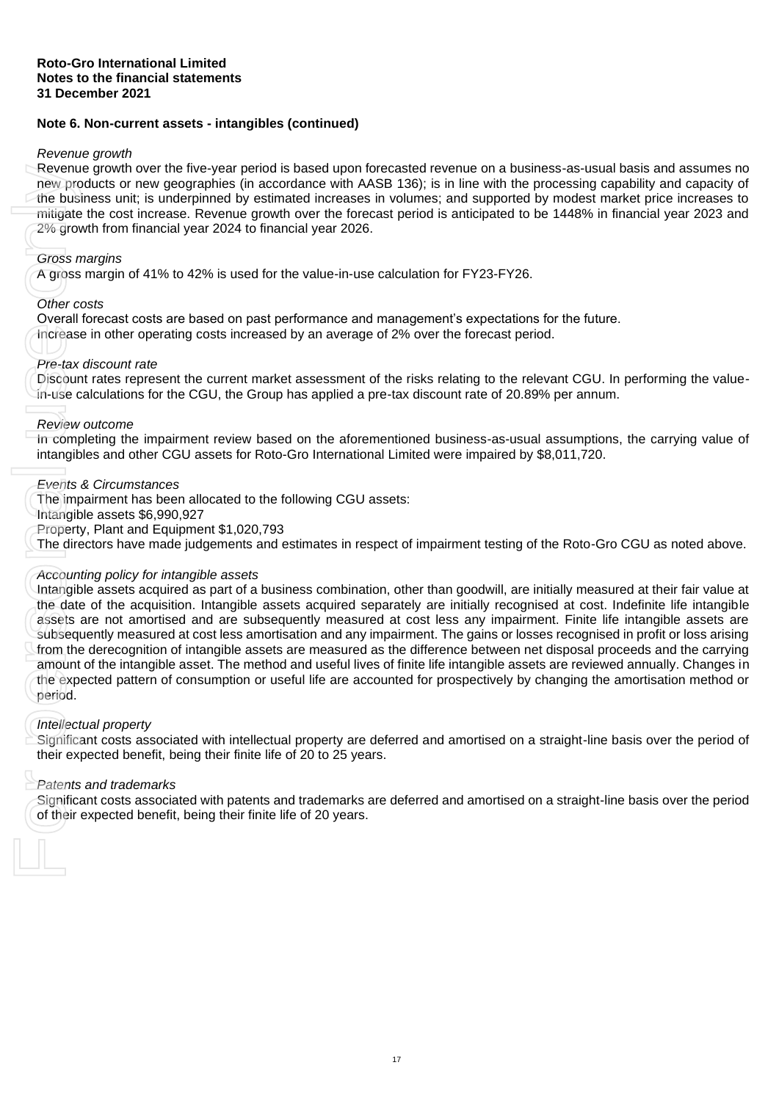# **Note 6. Non-current assets - intangibles (continued)**

#### *Revenue growth*

Revenue growth over the five-year period is based upon forecasted revenue on a business-as-usual basis and assumes no new products or new geographies (in accordance with AASB 136); is in line with the processing capability and capacity of the business unit; is underpinned by estimated increases in volumes; and supported by modest market price increases to mitigate the cost increase. Revenue growth over the forecast period is anticipated to be 1448% in financial year 2023 and 2% growth from financial year 2024 to financial year 2026.

#### *Gross margins*

A gross margin of 41% to 42% is used for the value-in-use calculation for FY23-FY26.

### *Other costs*

Overall forecast costs are based on past performance and management's expectations for the future.

Increase in other operating costs increased by an average of 2% over the forecast period.

#### *Pre-tax discount rate*

Discount rates represent the current market assessment of the risks relating to the relevant CGU. In performing the valuein-use calculations for the CGU, the Group has applied a pre-tax discount rate of 20.89% per annum.

#### *Review outcome*

In completing the impairment review based on the aforementioned business-as-usual assumptions, the carrying value of intangibles and other CGU assets for Roto-Gro International Limited were impaired by \$8,011,720.

#### *Events & Circumstances*

The impairment has been allocated to the following CGU assets:

Intangible assets \$6,990,927

Property, Plant and Equipment \$1,020,793

The directors have made judgements and estimates in respect of impairment testing of the Roto-Gro CGU as noted above.

### *Accounting policy for intangible assets*

Intangible assets acquired as part of a business combination, other than goodwill, are initially measured at their fair value at the date of the acquisition. Intangible assets acquired separately are initially recognised at cost. Indefinite life intangible assets are not amortised and are subsequently measured at cost less any impairment. Finite life intangible assets are subsequently measured at cost less amortisation and any impairment. The gains or losses recognised in profit or loss arising from the derecognition of intangible assets are measured as the difference between net disposal proceeds and the carrying amount of the intangible asset. The method and useful lives of finite life intangible assets are reviewed annually. Changes in the expected pattern of consumption or useful life are accounted for prospectively by changing the amortisation method or period. Newnue growth over the twe-year person as bassed upon<br>the verpected benefit the use of the sum and the business unit; is underpinned by estimated increases<br>migrate the cost increase. Revenue growth over the fore 2% growth

### *Intellectual property*

Significant costs associated with intellectual property are deferred and amortised on a straight-line basis over the period of their expected benefit, being their finite life of 20 to 25 years.

### *Patents and trademarks*

Significant costs associated with patents and trademarks are deferred and amortised on a straight-line basis over the period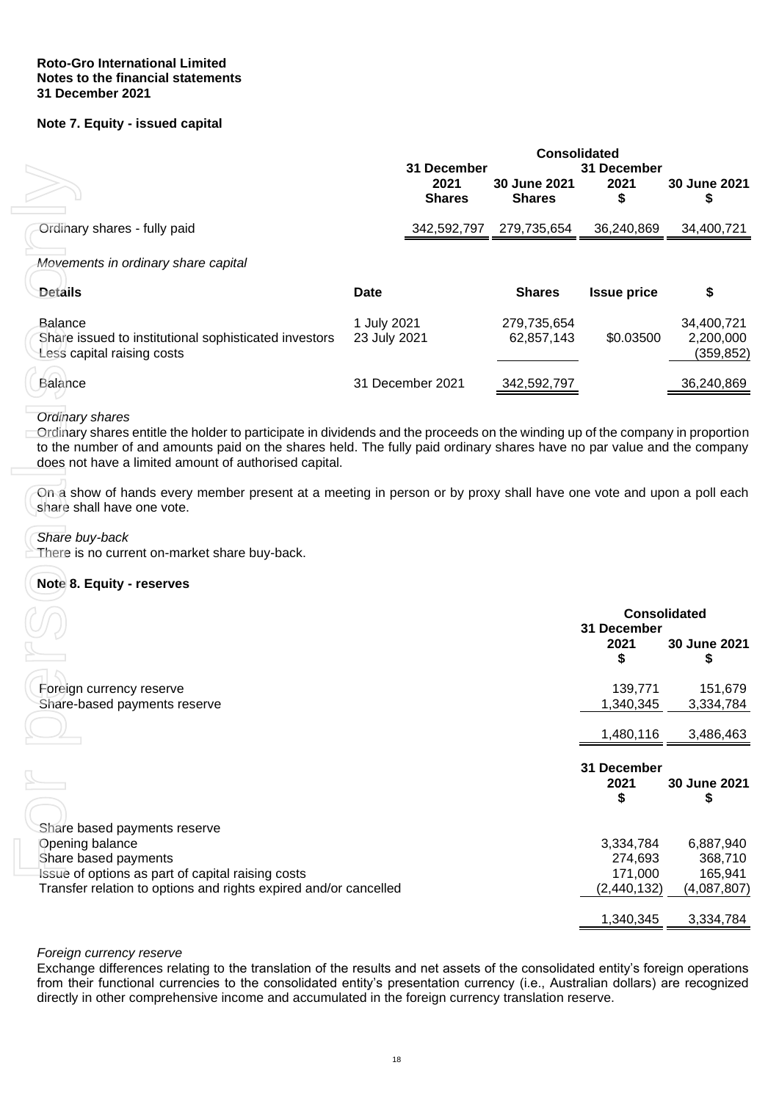## **Roto-Gro International Limited Notes to the financial statements 31 December 2021**

# **Note 7. Equity - issued capital**

<span id="page-20-0"></span>

|                                                                                                |                             | 31 December<br>2021<br><b>Shares</b> | <b>Consolidated</b><br><b>30 June 2021</b><br><b>Shares</b> | 31 December<br>2021<br>\$ | 30 June 2021<br>\$                    |
|------------------------------------------------------------------------------------------------|-----------------------------|--------------------------------------|-------------------------------------------------------------|---------------------------|---------------------------------------|
| Ordinary shares - fully paid                                                                   |                             | 342,592,797                          | 279,735,654                                                 | 36,240,869                | 34,400,721                            |
| Movements in ordinary share capital                                                            |                             |                                      |                                                             |                           |                                       |
| <b>Details</b>                                                                                 | Date                        |                                      | <b>Shares</b>                                               | <b>Issue price</b>        | \$                                    |
| Balance<br>Share issued to institutional sophisticated investors<br>Less capital raising costs | 1 July 2021<br>23 July 2021 |                                      | 279,735,654<br>62,857,143                                   | \$0.03500                 | 34,400,721<br>2,200,000<br>(359, 852) |
| Balance                                                                                        | 31 December 2021            |                                      | 342,592,797                                                 |                           | 36,240,869                            |

### *Ordinary shares*

# *Share buy-back*

# <span id="page-20-1"></span>**Note 8. Equity - reserves**

|                                                                                                                                                                                                                                                                                                                                             | 31 December<br>2021<br><b>Shares</b> | 30 June 2021<br><b>Shares</b> | 31 December<br>2021<br>\$ | 30 June 2021<br>\$                    |
|---------------------------------------------------------------------------------------------------------------------------------------------------------------------------------------------------------------------------------------------------------------------------------------------------------------------------------------------|--------------------------------------|-------------------------------|---------------------------|---------------------------------------|
| Ordinary shares - fully paid                                                                                                                                                                                                                                                                                                                | 342,592,797                          | 279,735,654                   | 36,240,869                | 34,400,721                            |
| Movements in ordinary share capital                                                                                                                                                                                                                                                                                                         |                                      |                               |                           |                                       |
| <b>Details</b>                                                                                                                                                                                                                                                                                                                              | <b>Date</b>                          | <b>Shares</b>                 | <b>Issue price</b>        | \$                                    |
| <b>Balance</b><br>Share issued to institutional sophisticated investors<br>Less capital raising costs                                                                                                                                                                                                                                       | 1 July 2021<br>23 July 2021          | 279,735,654<br>62,857,143     | \$0.03500                 | 34,400,721<br>2,200,000<br>(359, 852) |
| Balance                                                                                                                                                                                                                                                                                                                                     | 31 December 2021                     | 342,592,797                   |                           | 36,240,869                            |
| <b>Ordinary shares</b><br>Ordinary shares entitle the holder to participate in dividends and the proceeds on the winding up of the company in proportion<br>to the number of and amounts paid on the shares held. The fully paid ordinary shares have no par value and the company<br>does not have a limited amount of authorised capital. |                                      |                               |                           |                                       |
| On a show of hands every member present at a meeting in person or by proxy shall have one vote and upon a poll each<br>share shall have one vote.                                                                                                                                                                                           |                                      |                               |                           |                                       |
| Share buy-back<br>There is no current on-market share buy-back.                                                                                                                                                                                                                                                                             |                                      |                               |                           |                                       |
| Note 8. Equity - reserves                                                                                                                                                                                                                                                                                                                   |                                      |                               |                           |                                       |
|                                                                                                                                                                                                                                                                                                                                             |                                      |                               |                           |                                       |
|                                                                                                                                                                                                                                                                                                                                             |                                      |                               | 31 December               | <b>Consolidated</b>                   |
|                                                                                                                                                                                                                                                                                                                                             |                                      |                               | 2021<br>\$                | 30 June 2021<br>S                     |
| Foreign currency reserve<br>Share-based payments reserve                                                                                                                                                                                                                                                                                    |                                      |                               | 139,771<br>1,340,345      | 151,679<br>3,334,784                  |
|                                                                                                                                                                                                                                                                                                                                             |                                      |                               | 1,480,116                 | 3,486,463                             |
|                                                                                                                                                                                                                                                                                                                                             |                                      |                               | 31 December<br>2021<br>\$ | 30 June 2021<br>\$                    |
| Share based payments reserve                                                                                                                                                                                                                                                                                                                |                                      |                               |                           |                                       |
| Opening balance                                                                                                                                                                                                                                                                                                                             |                                      |                               | 3,334,784                 | 6,887,940                             |
| Share based payments<br>Issue of options as part of capital raising costs                                                                                                                                                                                                                                                                   |                                      |                               | 274,693<br>171,000        | 368,710<br>165,941                    |
| Transfer relation to options and rights expired and/or cancelled                                                                                                                                                                                                                                                                            |                                      |                               | (2,440,132)               | (4,087,807)                           |
|                                                                                                                                                                                                                                                                                                                                             |                                      |                               | 1,340,345                 | 3,334,784                             |

### *Foreign currency reserve*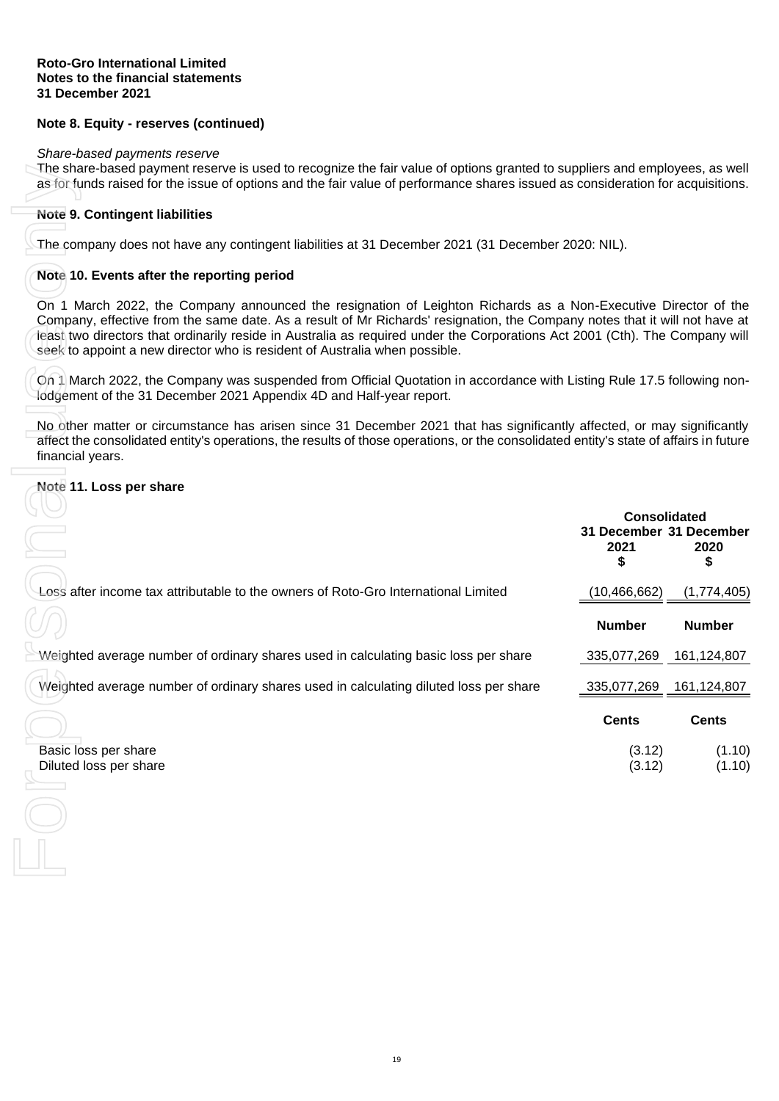# **Note 8. Equity - reserves (continued)**

#### *Share-based payments reserve*

The share-based payment reserve is used to recognize the fair value of options granted to suppliers and employees, as well as for funds raised for the issue of options and the fair value of performance shares issued as consideration for acquisitions.

## **Note 9. Contingent liabilities**

## **Note 10. Events after the reporting period**

# <span id="page-21-0"></span>**Note 11. Loss per share**

| The share-based payment reserve is used to recognize the fair value of options granted to suppliers and employees, as well<br>as for funds raised for the issue of options and the fair value of performance shares issued as consideration for acquisitions.                                                                                                                                                                                             |                                       |               |
|-----------------------------------------------------------------------------------------------------------------------------------------------------------------------------------------------------------------------------------------------------------------------------------------------------------------------------------------------------------------------------------------------------------------------------------------------------------|---------------------------------------|---------------|
| Note 9. Contingent liabilities                                                                                                                                                                                                                                                                                                                                                                                                                            |                                       |               |
| The company does not have any contingent liabilities at 31 December 2021 (31 December 2020: NIL).                                                                                                                                                                                                                                                                                                                                                         |                                       |               |
| Note 10. Events after the reporting period                                                                                                                                                                                                                                                                                                                                                                                                                |                                       |               |
| On 1 March 2022, the Company announced the resignation of Leighton Richards as a Non-Executive Director of the<br>Company, effective from the same date. As a result of Mr Richards' resignation, the Company notes that it will not have at<br>least two directors that ordinarily reside in Australia as required under the Corporations Act 2001 (Cth). The Company will<br>seek to appoint a new director who is resident of Australia when possible. |                                       |               |
| On 1 March 2022, the Company was suspended from Official Quotation in accordance with Listing Rule 17.5 following non-<br>lodgement of the 31 December 2021 Appendix 4D and Half-year report.                                                                                                                                                                                                                                                             |                                       |               |
| No other matter or circumstance has arisen since 31 December 2021 that has significantly affected, or may significantly<br>affect the consolidated entity's operations, the results of those operations, or the consolidated entity's state of affairs in future<br>financial years.                                                                                                                                                                      |                                       |               |
| Note 11. Loss per share                                                                                                                                                                                                                                                                                                                                                                                                                                   |                                       |               |
|                                                                                                                                                                                                                                                                                                                                                                                                                                                           | <b>Consolidated</b>                   |               |
|                                                                                                                                                                                                                                                                                                                                                                                                                                                           | 31 December 31 December<br>2021<br>\$ | 2020<br>\$    |
| Loss after income tax attributable to the owners of Roto-Gro International Limited                                                                                                                                                                                                                                                                                                                                                                        | (10, 466, 662)                        | (1,774,405)   |
|                                                                                                                                                                                                                                                                                                                                                                                                                                                           | <b>Number</b>                         | <b>Number</b> |
| Weighted average number of ordinary shares used in calculating basic loss per share                                                                                                                                                                                                                                                                                                                                                                       | 335,077,269                           | 161,124,807   |
| Weighted average number of ordinary shares used in calculating diluted loss per share                                                                                                                                                                                                                                                                                                                                                                     | 335,077,269                           | 161,124,807   |
|                                                                                                                                                                                                                                                                                                                                                                                                                                                           | <b>Cents</b>                          | <b>Cents</b>  |
| Basic loss per share                                                                                                                                                                                                                                                                                                                                                                                                                                      | (3.12)                                | (1.10)        |
| Diluted loss per share                                                                                                                                                                                                                                                                                                                                                                                                                                    | (3.12)                                | (1.10)        |
|                                                                                                                                                                                                                                                                                                                                                                                                                                                           |                                       |               |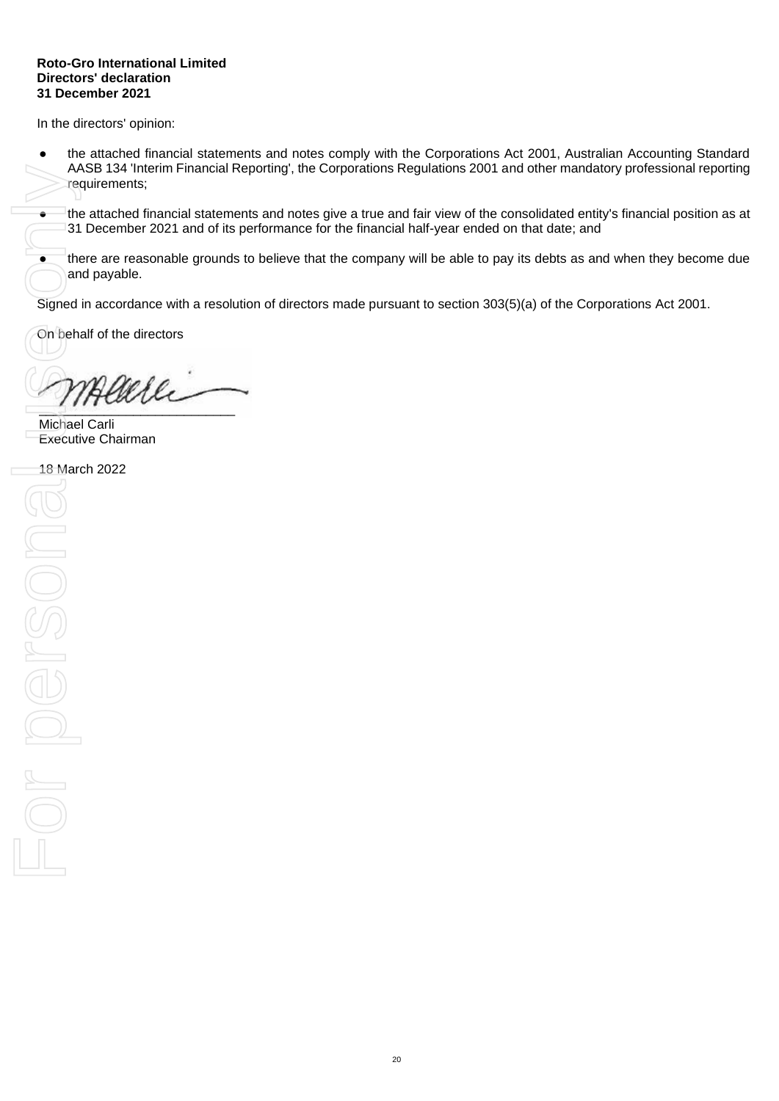#### **Roto-Gro International Limited Directors' declaration 31 December 2021**

In the directors' opinion:

the attached financial statements and notes comply with the Corporations Act 2001, Australian Accounting Standard AASB 134 'Interim Financial Reporting', the Corporations Regulations 2001 and other mandatory professional reporting requirements;

● the attached financial statements and notes give a true and fair view of the consolidated entity's financial position as at 31 December 2021 and of its performance for the financial half-year ended on that date; and

● there are reasonable grounds to believe that the company will be able to pay its debts as and when they become due and payable.

Signed in accordance with a resolution of directors made pursuant to section 303(5)(a) of the Corporations Act 2001.

On behalf of the directors

 $\gamma$ merre

Michael Carli Executive Chairman

18 March 2022

AASB 134<br>
Pequireme<br>
The attach<br>
31 Decem<br>
Signed in accor<br>
On behalf of the<br>
Michael Carli<br>
Executive Chai<br>
18 March 2022<br>
ON DRAMA 2022 For persona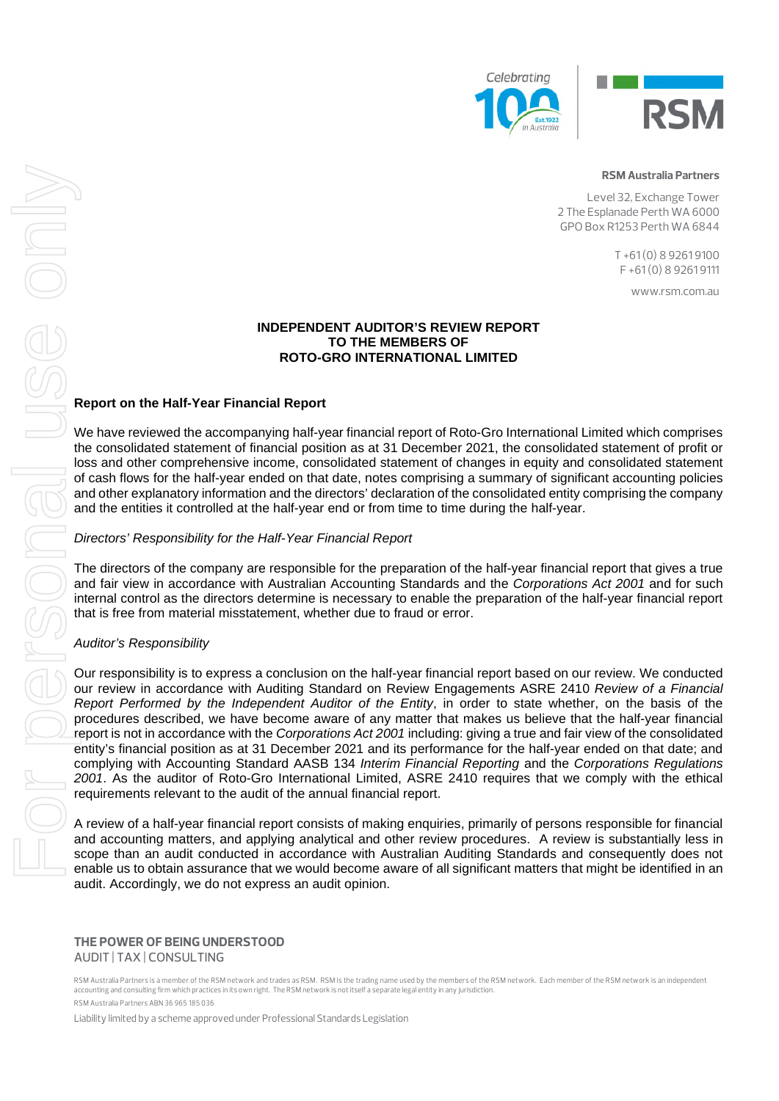



#### RSM Australia Partners

Level 32, Exchange Tower 2 The Esplanade Perth WA 6000 GPO Box R1253 Perth WA 6844

> T +61 (0) 8 9261 9100  $F + 61(0) 8 92619111$

> > www.rsm.com.au

#### **INDEPENDENT AUDITOR'S REVIEW REPORT TO THE MEMBERS OF ROTO-GRO INTERNATIONAL LIMITED**

# **Report on the Half-Year Financial Report**

We have reviewed the accompanying half-year financial report of Roto-Gro International Limited which comprises the consolidated statement of financial position as at 31 December 2021, the consolidated statement of profit or loss and other comprehensive income, consolidated statement of changes in equity and consolidated statement of cash flows for the half-year ended on that date, notes comprising a summary of significant accounting policies and other explanatory information and the directors' declaration of the consolidated entity comprising the company and the entities it controlled at the half-year end or from time to time during the half-year.

### *Directors' Responsibility for the Half-Year Financial Report*

The directors of the company are responsible for the preparation of the half-year financial report that gives a true and fair view in accordance with Australian Accounting Standards and the *Corporations Act 2001* and for such internal control as the directors determine is necessary to enable the preparation of the half-year financial report that is free from material misstatement, whether due to fraud or error.

### *Auditor's Responsibility*

Our responsibility is to express a conclusion on the half-year financial report based on our review. We conducted our review in accordance with Auditing Standard on Review Engagements ASRE 2410 *Review of a Financial Report Performed by the Independent Auditor of the Entity*, in order to state whether, on the basis of the procedures described, we have become aware of any matter that makes us believe that the half-year financial report is not in accordance with the *Corporations Act 2001* including: giving a true and fair view of the consolidated entity's financial position as at 31 December 2021 and its performance for the half-year ended on that date; and complying with Accounting Standard AASB 134 *Interim Financial Reporting* and the *Corporations Regulations 2001*. As the auditor of Roto-Gro International Limited, ASRE 2410 requires that we comply with the ethical requirements relevant to the audit of the annual financial report. Enable 1980 Materials are the **Half-Year Finding in the USE CONDUCT CONDUCT** CONDUCT CONDUCT CONDUCT CONDUCT CONDUCT CONDUCT CONDUCT CONDUCT CONDUCT CONDUCT CONDUCT CONDUCT CONDUCT CONDUCT CONDUCT CONDUCT CONDUCT CONDUCT C

A review of a half-year financial report consists of making enquiries, primarily of persons responsible for financial and accounting matters, and applying analytical and other review procedures. A review is substantially less in scope than an audit conducted in accordance with Australian Auditing Standards and consequently does not audit. Accordingly, we do not express an audit opinion.

#### THE POWER OF BEING UNDERSTOOD AUDIT | TAX | CONSULTING

RSM Australia Partners is a member of the RSM network and trades as RSM. RSM is the trading name used by the members of the RSM network. Each member of the RSM network is an independent accounting and consulting firm which practices in its own right. The RSM network is not itself a separate legal entity in any jurisdiction. RSM Australia Partners ABN 36 965 185 036

Liability limited by a scheme approved under Professional Standards Legislation